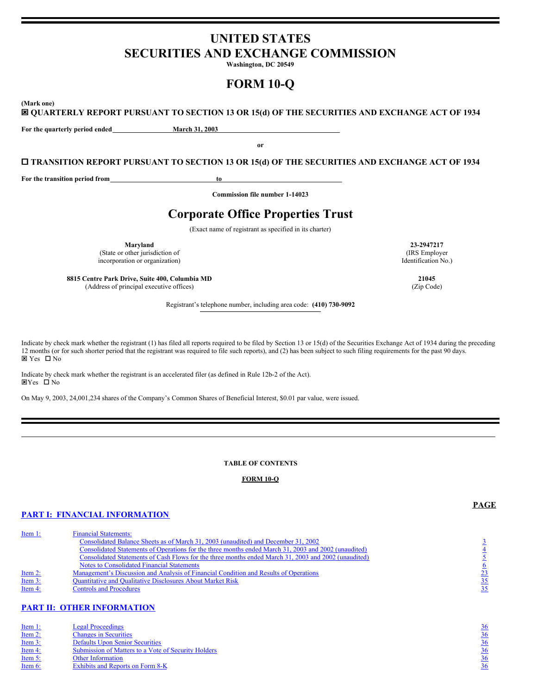# **UNITED STATES SECURITIES AND EXCHANGE COMMISSION**

**Washington, DC 20549**

# **FORM 10-Q**

**(Mark one)**

ý **QUARTERLY REPORT PURSUANT TO SECTION 13 OR 15(d) OF THE SECURITIES AND EXCHANGE ACT OF 1934**

**For the quarterly period ended March 31, 2003**

**or**

## o **TRANSITION REPORT PURSUANT TO SECTION 13 OR 15(d) OF THE SECURITIES AND EXCHANGE ACT OF 1934**

**For the transition period from to**

**Commission file number 1-14023**

# **Corporate Office Properties Trust**

(Exact name of registrant as specified in its charter)

**Maryland 23-2947217**

(State or other jurisdiction of incorporation or organization)

**8815 Centre Park Drive, Suite 400, Columbia MD 21045** (Address of principal executive offices) (Zip Code)

(IRS Employer Identification No.)

**PAGE**

Registrant's telephone number, including area code: **(410) 730-9092**

Indicate by check mark whether the registrant (1) has filed all reports required to be filed by Section 13 or 15(d) of the Securities Exchange Act of 1934 during the preceding 12 months (or for such shorter period that the registrant was required to file such reports), and (2) has been subject to such filing requirements for the past 90 days.  $\boxtimes$  Yes  $\Box$  No

Indicate by check mark whether the registrant is an accelerated filer (as defined in Rule 12b-2 of the Act). ýYes o No

On May 9, 2003, 24,001,234 shares of the Company's Common Shares of Beneficial Interest, \$0.01 par value, were issued.

### **TABLE OF CONTENTS**

**FORM 10-Q**

### **PART I: FINANCIAL [INFORMATION](#page-1-0)**

[Item](#page-1-1) 1: Financial [Statements:](#page-1-1) [Consolidated](#page-1-2) Balance Sheets as of March [3](#page-1-2)1, 2003 (unaudited) and December 31, 2002<br>
Consolidated Statements of Operations for the three months ended March 31, 2003 and 2002 (unaudited)<br>  $\frac{4}{5}$ <br>
Consolidated Statements [Consolidated](#page-1-3) Statements of Operations for the three months ended March 31, 2003 and 2002 (unaudited) [Consolidated](#page-2-0) Statements of Cash Flows for the three months ended March 31, 2003 and 2002 (unaudited) Notes to [Consolidated](#page-3-0) Financial Statements [6](#page-3-0) [Item](#page-12-0) 2: [Management's](#page-12-0) Discussion and Analysis of Financial Condition and Results of Operations [Item](#page-18-0) 3: [Quantitative](#page-18-0) and Qualitative Disclosures About Market Risk [Item](#page-19-0) 4: Controls and [Procedures](#page-19-0)

# **PART II: OTHER [INFORMATION](#page-19-1)**

| Item 1:    | <b>Legal Proceedings</b>                            | <u>36</u> |
|------------|-----------------------------------------------------|-----------|
| Item $2$ : | <b>Changes in Securities</b>                        | 36        |
| Item $3$ : | <b>Defaults Upon Senior Securities</b>              | 36        |
| Item $4$ : | Submission of Matters to a Vote of Security Holders | 36        |
| Item $5:$  | <b>Other Information</b>                            | 36        |
| Item 6:    | Exhibits and Reports on Form 8-K                    | 36        |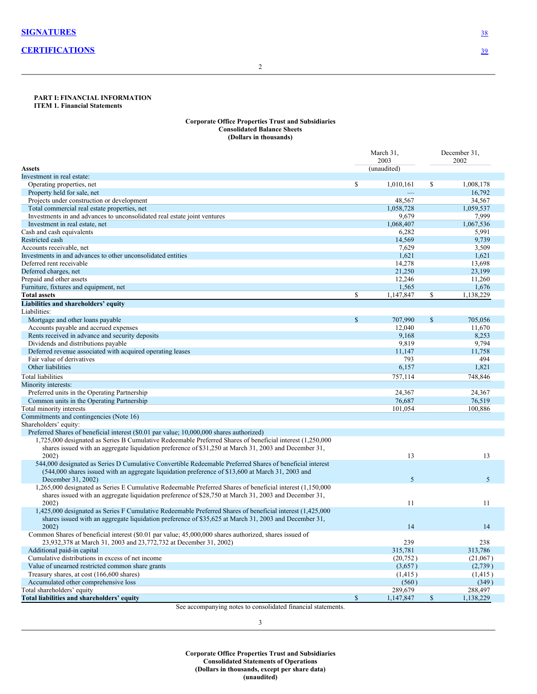<span id="page-1-1"></span><span id="page-1-0"></span>**PART I: FINANCIAL INFORMATION ITEM 1. Financial Statements**

> <span id="page-1-2"></span>**Corporate Office Properties Trust and Subsidiaries Consolidated Balance Sheets (Dollars in thousands)**

2

|                                                                                                            | March 31,<br>2003 |             | December 31,<br>2002 |           |
|------------------------------------------------------------------------------------------------------------|-------------------|-------------|----------------------|-----------|
| <b>Assets</b>                                                                                              |                   | (unaudited) |                      |           |
| Investment in real estate:                                                                                 |                   |             |                      |           |
| Operating properties, net                                                                                  | S.                | 1,010,161   | S                    | 1,008,178 |
| Property held for sale, net                                                                                |                   |             |                      | 16,792    |
| Projects under construction or development                                                                 |                   | 48,567      |                      | 34,567    |
| Total commercial real estate properties, net                                                               |                   | 1,058,728   |                      | 1,059,537 |
| Investments in and advances to unconsolidated real estate joint ventures                                   |                   | 9,679       |                      | 7,999     |
| Investment in real estate, net                                                                             |                   | 1,068,407   |                      | 1,067,536 |
| Cash and cash equivalents                                                                                  |                   | 6,282       |                      | 5,991     |
| Restricted cash                                                                                            |                   | 14,569      |                      | 9,739     |
| Accounts receivable, net                                                                                   |                   | 7,629       |                      | 3,509     |
| Investments in and advances to other unconsolidated entities                                               |                   | 1,621       |                      | 1,621     |
| Deferred rent receivable                                                                                   |                   | 14,278      |                      | 13,698    |
| Deferred charges, net                                                                                      |                   | 21,250      |                      | 23,199    |
| Prepaid and other assets                                                                                   |                   | 12,246      |                      | 11,260    |
| Furniture, fixtures and equipment, net                                                                     |                   | 1,565       |                      | 1,676     |
| <b>Total assets</b>                                                                                        | \$                | 1,147,847   | \$                   | 1,138,229 |
| Liabilities and shareholders' equity                                                                       |                   |             |                      |           |
| Liabilities:                                                                                               |                   |             |                      |           |
| Mortgage and other loans payable                                                                           | $\mathbb{S}$      | 707,990     | $\mathbb{S}$         | 705,056   |
| Accounts payable and accrued expenses                                                                      |                   | 12.040      |                      | 11,670    |
| Rents received in advance and security deposits                                                            |                   | 9,168       |                      | 8,253     |
| Dividends and distributions payable                                                                        |                   | 9,819       |                      | 9,794     |
| Deferred revenue associated with acquired operating leases                                                 |                   | 11,147      |                      | 11,758    |
| Fair value of derivatives                                                                                  |                   | 793         |                      | 494       |
| Other liabilities                                                                                          |                   | 6,157       |                      | 1,821     |
|                                                                                                            |                   |             |                      |           |
| Total liabilities                                                                                          |                   | 757,114     |                      | 748,846   |
| Minority interests:                                                                                        |                   |             |                      |           |
| Preferred units in the Operating Partnership                                                               |                   | 24,367      |                      | 24,367    |
| Common units in the Operating Partnership                                                                  |                   | 76,687      |                      | 76,519    |
| Total minority interests                                                                                   |                   | 101,054     |                      | 100,886   |
| Commitments and contingencies (Note 16)                                                                    |                   |             |                      |           |
| Shareholders' equity:                                                                                      |                   |             |                      |           |
| Preferred Shares of beneficial interest (\$0.01 par value; 10,000,000 shares authorized)                   |                   |             |                      |           |
| 1,725,000 designated as Series B Cumulative Redeemable Preferred Shares of beneficial interest (1,250,000) |                   |             |                      |           |
| shares issued with an aggregate liquidation preference of \$31,250 at March 31, 2003 and December 31,      |                   |             |                      |           |
| 2002)                                                                                                      |                   | 13          |                      | 13        |
| 544,000 designated as Series D Cumulative Convertible Redeemable Preferred Shares of beneficial interest   |                   |             |                      |           |
| (544,000 shares issued with an aggregate liquidation preference of \$13,600 at March 31, 2003 and          |                   |             |                      |           |
| December 31, 2002)                                                                                         |                   | 5           |                      | 5         |
| 1,265,000 designated as Series E Cumulative Redeemable Preferred Shares of beneficial interest (1,150,000) |                   |             |                      |           |
| shares issued with an aggregate liquidation preference of \$28,750 at March 31, 2003 and December 31,      |                   |             |                      |           |
| 2002)                                                                                                      |                   | 11          |                      | 11        |
| 1,425,000 designated as Series F Cumulative Redeemable Preferred Shares of beneficial interest (1,425,000) |                   |             |                      |           |
| shares issued with an aggregate liquidation preference of \$35,625 at March 31, 2003 and December 31,      |                   |             |                      |           |
| 2002                                                                                                       |                   | 14          |                      | 14        |
| Common Shares of beneficial interest (\$0.01 par value; 45,000,000 shares authorized, shares issued of     |                   |             |                      |           |
| 23,932,378 at March 31, 2003 and 23,772,732 at December 31, 2002)                                          |                   | 239         |                      | 238       |
| Additional paid-in capital                                                                                 |                   | 315,781     |                      | 313,786   |
| Cumulative distributions in excess of net income                                                           |                   | (20, 752)   |                      | (21,067)  |
| Value of unearned restricted common share grants                                                           |                   | (3,657)     |                      | (2,739)   |
| Treasury shares, at cost (166,600 shares)                                                                  |                   | (1, 415)    |                      | (1, 415)  |
| Accumulated other comprehensive loss                                                                       |                   | (560)       |                      | (349)     |
| Total shareholders' equity                                                                                 |                   | 289,679     |                      | 288,497   |
| Total liabilities and shareholders' equity                                                                 | $\mathbb{S}$      | 1,147,847   | $\mathbb{S}$         | 1,138,229 |

<span id="page-1-3"></span>See accompanying notes to consolidated financial statements.

3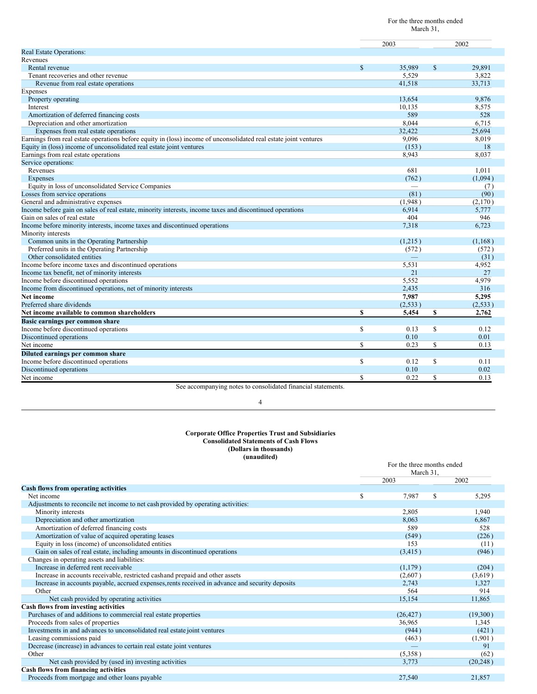For the three months ended March 31,

|                                                                                                                  | 2003          |         | 2002          |          |
|------------------------------------------------------------------------------------------------------------------|---------------|---------|---------------|----------|
| Real Estate Operations:                                                                                          |               |         |               |          |
| Revenues                                                                                                         |               |         |               |          |
| Rental revenue                                                                                                   | <sup>\$</sup> | 35,989  | $\mathsf{\$}$ | 29,891   |
| Tenant recoveries and other revenue                                                                              |               | 5,529   |               | 3,822    |
| Revenue from real estate operations                                                                              |               | 41,518  |               | 33,713   |
| Expenses                                                                                                         |               |         |               |          |
| Property operating                                                                                               |               | 13.654  |               | 9.876    |
| Interest                                                                                                         |               | 10,135  |               | 8,575    |
| Amortization of deferred financing costs                                                                         |               | 589     |               | 528      |
| Depreciation and other amortization                                                                              |               | 8,044   |               | 6,715    |
| Expenses from real estate operations                                                                             |               | 32.422  |               | 25,694   |
| Earnings from real estate operations before equity in (loss) income of unconsolidated real estate joint ventures |               | 9,096   |               | 8,019    |
| Equity in (loss) income of unconsolidated real estate joint ventures                                             |               | (153)   |               | 18       |
| Earnings from real estate operations                                                                             |               | 8,943   |               | 8,037    |
| Service operations:                                                                                              |               |         |               |          |
| Revenues                                                                                                         |               | 681     |               | 1.011    |
| Expenses                                                                                                         |               | (762)   |               | (1,094)  |
| Equity in loss of unconsolidated Service Companies                                                               |               |         |               | (7)      |
| Losses from service operations                                                                                   |               | (81)    |               | (90)     |
| General and administrative expenses                                                                              |               | (1.948) |               | (2,170)  |
| Income before gain on sales of real estate, minority interests, income taxes and discontinued operations         |               | 6,914   |               | 5,777    |
| Gain on sales of real estate                                                                                     |               | 404     |               | 946      |
| Income before minority interests, income taxes and discontinued operations                                       |               | 7.318   |               | 6.723    |
| Minority interests                                                                                               |               |         |               |          |
| Common units in the Operating Partnership                                                                        |               | (1,215) |               | (1,168)  |
| Preferred units in the Operating Partnership                                                                     |               | (572)   |               | (572)    |
| Other consolidated entities                                                                                      |               |         |               | (31)     |
| Income before income taxes and discontinued operations                                                           |               | 5,531   |               | 4,952    |
| Income tax benefit, net of minority interests                                                                    |               | 21      |               | 27       |
| Income before discontinued operations                                                                            |               | 5,552   |               | 4,979    |
| Income from discontinued operations, net of minority interests                                                   |               | 2,435   |               | 316      |
| Net income                                                                                                       |               | 7.987   |               | 5,295    |
| Preferred share dividends                                                                                        |               | (2,533) |               | (2, 533) |
| Net income available to common shareholders                                                                      | \$            | 5,454   | \$            | 2,762    |
| Basic earnings per common share                                                                                  |               |         |               |          |
| Income before discontinued operations                                                                            | S             | 0.13    | \$            | 0.12     |
| Discontinued operations                                                                                          |               | 0.10    |               | 0.01     |
| Net income                                                                                                       | S             | 0.23    | \$            | 0.13     |
| Diluted earnings per common share                                                                                |               |         |               |          |
| Income before discontinued operations                                                                            | $\mathbb{S}$  | 0.12    | \$            | 0.11     |
| Discontinued operations                                                                                          |               | 0.10    |               | 0.02     |
| Net income                                                                                                       | S             | 0.22    | $\mathbb{S}$  | 0.13     |

See accompanying notes to consolidated financial statements.

4

# <span id="page-2-0"></span>**Corporate Office Properties Trust and Subsidiaries Consolidated Statements of Cash Flows (Dollars in thousands)**

**(unaudited)**

|                                                                                                 |    | For the three months ended<br>March 31, |           |
|-------------------------------------------------------------------------------------------------|----|-----------------------------------------|-----------|
|                                                                                                 |    | 2003                                    | 2002      |
| <b>Cash flows from operating activities</b>                                                     |    |                                         |           |
| Net income                                                                                      | S. | 7,987<br>\$                             | 5,295     |
| Adjustments to reconcile net income to net cash provided by operating activities:               |    |                                         |           |
| Minority interests                                                                              |    | 2,805                                   | 1.940     |
| Depreciation and other amortization                                                             |    | 8.063                                   | 6.867     |
| Amortization of deferred financing costs                                                        |    | 589                                     | 528       |
| Amortization of value of acquired operating leases                                              |    | (549)                                   | (226)     |
| Equity in loss (income) of unconsolidated entities                                              |    | 153                                     | (11)      |
| Gain on sales of real estate, including amounts in discontinued operations                      |    | (3, 415)                                | (946)     |
| Changes in operating assets and liabilities:                                                    |    |                                         |           |
| Increase in deferred rent receivable                                                            |    | (1,179)                                 | (204)     |
| Increase in accounts receivable, restricted cash and prepaid and other assets                   |    | (2,607)                                 | (3,619)   |
| Increase in accounts payable, accrued expenses, rents received in advance and security deposits |    | 2,743                                   | 1,327     |
| Other                                                                                           |    | 564                                     | 914       |
| Net cash provided by operating activities                                                       |    | 15,154                                  | 11,865    |
| Cash flows from investing activities                                                            |    |                                         |           |
| Purchases of and additions to commercial real estate properties                                 |    | (26, 427)                               | (19,300)  |
| Proceeds from sales of properties                                                               |    | 36.965                                  | 1,345     |
| Investments in and advances to unconsolidated real estate joint ventures                        |    | (944)                                   | (421)     |
| Leasing commissions paid                                                                        |    | (463)                                   | (1,901)   |
| Decrease (increase) in advances to certain real estate joint ventures                           |    |                                         | 91        |
| Other                                                                                           |    | (5,358)                                 | (62)      |
| Net cash provided by (used in) investing activities                                             |    | 3,773                                   | (20, 248) |
| Cash flows from financing activities                                                            |    |                                         |           |
| Proceeds from mortgage and other loans payable                                                  |    | 27.540                                  | 21.857    |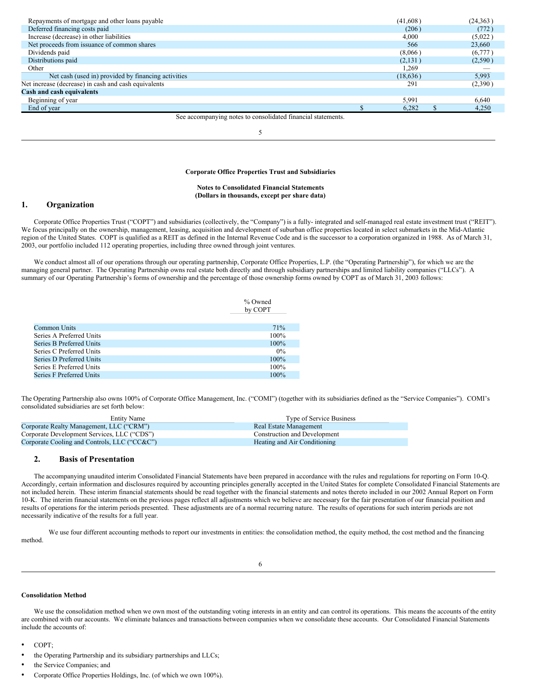| Repayments of mortgage and other loans payable       | (41,608)  | (24, 363) |
|------------------------------------------------------|-----------|-----------|
| Deferred financing costs paid                        | (206)     | (772)     |
| Increase (decrease) in other liabilities             | 4,000     | (5,022)   |
| Net proceeds from issuance of common shares          | 566       | 23,660    |
| Dividends paid                                       | (8,066)   | (6,777)   |
| Distributions paid                                   | (2,131)   | (2,590)   |
| Other                                                | 1.269     |           |
| Net cash (used in) provided by financing activities  | (18, 636) | 5,993     |
| Net increase (decrease) in cash and cash equivalents | 291       | (2,390)   |
| Cash and cash equivalents                            |           |           |
| Beginning of year                                    | 5,991     | 6,640     |
| End of year                                          | 6.282     | 4,250     |
| 1.1.1.1.0                                            |           |           |

See accompanying notes to consolidated financial statements.

5

### **Corporate Office Properties Trust and Subsidiaries**

### <span id="page-3-0"></span>**Notes to Consolidated Financial Statements (Dollars in thousands, except per share data)**

### **1. Organization**

Corporate Office Properties Trust ("COPT") and subsidiaries (collectively, the "Company") is a fully- integrated and self-managed real estate investment trust ("REIT"). We focus principally on the ownership, management, leasing, acquisition and development of suburban office properties located in select submarkets in the Mid-Atlantic region of the United States. COPT is qualified as a REIT as defined in the Internal Revenue Code and is the successor to a corporation organized in 1988. As of March 31, 2003, our portfolio included 112 operating properties, including three owned through joint ventures.

We conduct almost all of our operations through our operating partnership, Corporate Office Properties, L.P. (the "Operating Partnership"), for which we are the managing general partner. The Operating Partnership owns real estate both directly and through subsidiary partnerships and limited liability companies ("LLCs"). A summary of our Operating Partnership's forms of ownership and the percentage of those ownership forms owned by COPT as of March 31, 2003 follows:

|                                 | % Owned<br>by COPT |
|---------------------------------|--------------------|
| Common Units                    | 71%                |
| Series A Preferred Units        | 100%               |
| Series B Preferred Units        | 100%               |
| Series C Preferred Units        | $0\%$              |
| Series D Preferred Units        | 100%               |
| Series E Preferred Units        | 100%               |
| <b>Series F Preferred Units</b> | 100%               |

The Operating Partnership also owns 100% of Corporate Office Management, Inc. ("COMI") (together with its subsidiaries defined as the "Service Companies"). COMI's consolidated subsidiaries are set forth below:

| <b>Entity Name</b>                           | Type of Service Business     |
|----------------------------------------------|------------------------------|
| Corporate Realty Management, LLC ("CRM")     | Real Estate Management       |
| Corporate Development Services, LLC ("CDS")  | Construction and Development |
| Corporate Cooling and Controls, LLC ("CC&C") | Heating and Air Conditioning |

### **2. Basis of Presentation**

The accompanying unaudited interim Consolidated Financial Statements have been prepared in accordance with the rules and regulations for reporting on Form 10-Q. Accordingly, certain information and disclosures required by accounting principles generally accepted in the United States for complete Consolidated Financial Statements are not included herein. These interim financial statements should be read together with the financial statements and notes thereto included in our 2002 Annual Report on Form 10-K. The interim financial statements on the previous pages reflect all adjustments which we believe are necessary for the fair presentation of our financial position and results of operations for the interim periods presented. These adjustments are of a normal recurring nature. The results of operations for such interim periods are not necessarily indicative of the results for a full year.

We use four different accounting methods to report our investments in entities: the consolidation method, the equity method, the cost method and the financing method.

#### **Consolidation Method**

We use the consolidation method when we own most of the outstanding voting interests in an entity and can control its operations. This means the accounts of the entity are combined with our accounts. We eliminate balances and transactions between companies when we consolidate these accounts. Our Consolidated Financial Statements include the accounts of:

- COPT;
- the Operating Partnership and its subsidiary partnerships and LLCs;
- the Service Companies; and
- Corporate Office Properties Holdings, Inc. (of which we own 100%).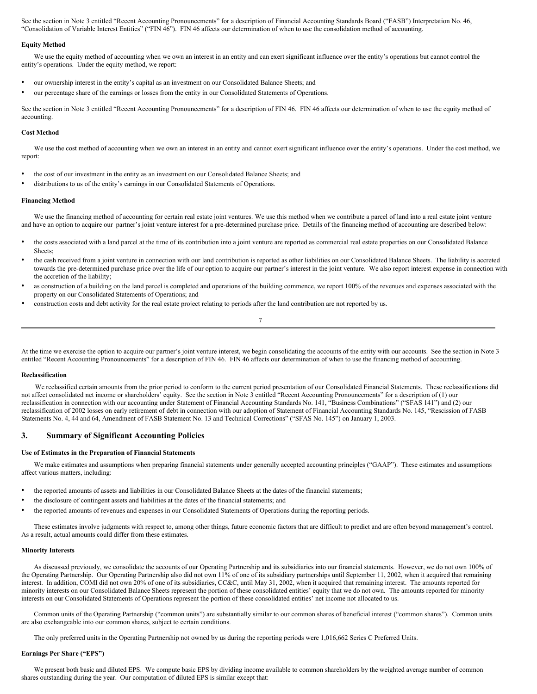See the section in Note 3 entitled "Recent Accounting Pronouncements" for a description of Financial Accounting Standards Board ("FASB") Interpretation No. 46, "Consolidation of Variable Interest Entities" ("FIN 46"). FIN 46 affects our determination of when to use the consolidation method of accounting.

#### **Equity Method**

We use the equity method of accounting when we own an interest in an entity and can exert significant influence over the entity's operations but cannot control the entity's operations. Under the equity method, we report:

- our ownership interest in the entity's capital as an investment on our Consolidated Balance Sheets; and
- our percentage share of the earnings or losses from the entity in our Consolidated Statements of Operations.

See the section in Note 3 entitled "Recent Accounting Pronouncements" for a description of FIN 46. FIN 46 affects our determination of when to use the equity method of accounting.

#### **Cost Method**

We use the cost method of accounting when we own an interest in an entity and cannot exert significant influence over the entity's operations. Under the cost method, we report:

- the cost of our investment in the entity as an investment on our Consolidated Balance Sheets; and
- distributions to us of the entity's earnings in our Consolidated Statements of Operations.

#### **Financing Method**

We use the financing method of accounting for certain real estate joint ventures. We use this method when we contribute a parcel of land into a real estate joint venture and have an option to acquire our partner's joint venture interest for a pre-determined purchase price. Details of the financing method of accounting are described below:

- the costs associated with a land parcel at the time of its contribution into a joint venture are reported as commercial real estate properties on our Consolidated Balance Sheets;
- the cash received from a joint venture in connection with our land contribution is reported as other liabilities on our Consolidated Balance Sheets. The liability is accreted towards the pre-determined purchase price over the life of our option to acquire our partner's interest in the joint venture. We also report interest expense in connection with the accretion of the liability;
- as construction of a building on the land parcel is completed and operations of the building commence, we report 100% of the revenues and expenses associated with the property on our Consolidated Statements of Operations; and
- *•* construction costs and debt activity for the real estate project relating to periods after the land contribution are not reported by us.
	- 7

At the time we exercise the option to acquire our partner's joint venture interest, we begin consolidating the accounts of the entity with our accounts. See the section in Note 3 entitled "Recent Accounting Pronouncements" for a description of FIN 46. FIN 46 affects our determination of when to use the financing method of accounting.

#### **Reclassification**

We reclassified certain amounts from the prior period to conform to the current period presentation of our Consolidated Financial Statements. These reclassifications did not affect consolidated net income or shareholders' equity. See the section in Note 3 entitled "Recent Accounting Pronouncements" for a description of (1) our reclassification in connection with our accounting under Statement of Financial Accounting Standards No. 141, "Business Combinations" ("SFAS 141") and (2) our reclassification of 2002 losses on early retirement of debt in connection with our adoption of Statement of Financial Accounting Standards No. 145, "Rescission of FASB Statements No. 4, 44 and 64, Amendment of FASB Statement No. 13 and Technical Corrections" ("SFAS No. 145") on January 1, 2003.

### **3. Summary of Significant Accounting Policies**

#### **Use of Estimates in the Preparation of Financial Statements**

We make estimates and assumptions when preparing financial statements under generally accepted accounting principles ("GAAP"). These estimates and assumptions affect various matters, including:

- the reported amounts of assets and liabilities in our Consolidated Balance Sheets at the dates of the financial statements;
- the disclosure of contingent assets and liabilities at the dates of the financial statements; and
- the reported amounts of revenues and expenses in our Consolidated Statements of Operations during the reporting periods.

These estimates involve judgments with respect to, among other things, future economic factors that are difficult to predict and are often beyond management's control. As a result, actual amounts could differ from these estimates.

#### **Minority Interests**

As discussed previously, we consolidate the accounts of our Operating Partnership and its subsidiaries into our financial statements. However, we do not own 100% of the Operating Partnership. Our Operating Partnership also did not own 11% of one of its subsidiary partnerships until September 11, 2002, when it acquired that remaining interest. In addition, COMI did not own 20% of one of its subsidiaries, CC&C, until May 31, 2002, when it acquired that remaining interest. The amounts reported for minority interests on our Consolidated Balance Sheets represent the portion of these consolidated entities' equity that we do not own. The amounts reported for minority interests on our Consolidated Statements of Operations represent the portion of these consolidated entities' net income not allocated to us.

Common units of the Operating Partnership ("common units") are substantially similar to our common shares of beneficial interest ("common shares"). Common units are also exchangeable into our common shares, subject to certain conditions.

The only preferred units in the Operating Partnership not owned by us during the reporting periods were 1,016,662 Series C Preferred Units.

#### **Earnings Per Share ("EPS")**

We present both basic and diluted EPS. We compute basic EPS by dividing income available to common shareholders by the weighted average number of common shares outstanding during the year. Our computation of diluted EPS is similar except that: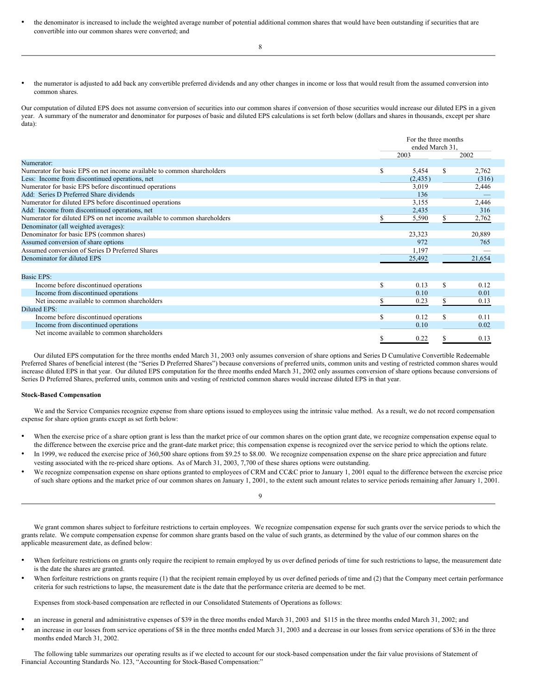| the denominator is increased to include the weighted average number of potential additional common shares that would have been outstanding if securities that are |
|-------------------------------------------------------------------------------------------------------------------------------------------------------------------|
| convertible into our common shares were converted; and                                                                                                            |

8

• the numerator is adjusted to add back any convertible preferred dividends and any other changes in income or loss that would result from the assumed conversion into common shares.

Our computation of diluted EPS does not assume conversion of securities into our common shares if conversion of those securities would increase our diluted EPS in a given year. A summary of the numerator and denominator for purposes of basic and diluted EPS calculations is set forth below (dollars and shares in thousands, except per share data):

|                                                                          |   | For the three months |              |        |
|--------------------------------------------------------------------------|---|----------------------|--------------|--------|
|                                                                          |   | ended March 31.      |              |        |
|                                                                          |   | 2003                 |              | 2002   |
| Numerator:                                                               |   |                      |              |        |
| Numerator for basic EPS on net income available to common shareholders   | S | 5,454                | \$           | 2,762  |
| Less: Income from discontinued operations, net                           |   | (2, 435)             |              | (316)  |
| Numerator for basic EPS before discontinued operations                   |   | 3,019                |              | 2,446  |
| Add: Series D Preferred Share dividends                                  |   | 136                  |              |        |
| Numerator for diluted EPS before discontinued operations                 |   | 3,155                |              | 2,446  |
| Add: Income from discontinued operations, net                            |   | 2,435                |              | 316    |
| Numerator for diluted EPS on net income available to common shareholders |   | 5,590                | \$           | 2,762  |
| Denominator (all weighted averages):                                     |   |                      |              |        |
| Denominator for basic EPS (common shares)                                |   | 23,323               |              | 20,889 |
| Assumed conversion of share options                                      |   | 972                  |              | 765    |
| Assumed conversion of Series D Preferred Shares                          |   | 1,197                |              |        |
| Denominator for diluted EPS                                              |   | 25,492               |              | 21,654 |
|                                                                          |   |                      |              |        |
| <b>Basic EPS:</b>                                                        |   |                      |              |        |
| Income before discontinued operations                                    | S | 0.13                 | $\mathbb{S}$ | 0.12   |
| Income from discontinued operations                                      |   | 0.10                 |              | 0.01   |
| Net income available to common shareholders                              |   | 0.23                 | \$           | 0.13   |
| Diluted EPS:                                                             |   |                      |              |        |
| Income before discontinued operations                                    | S | 0.12                 | $\mathbb{S}$ | 0.11   |
| Income from discontinued operations                                      |   | 0.10                 |              | 0.02   |
| Net income available to common shareholders                              |   |                      |              |        |
|                                                                          |   | 0.22                 | \$           | 0.13   |

Our diluted EPS computation for the three months ended March 31, 2003 only assumes conversion of share options and Series D Cumulative Convertible Redeemable Preferred Shares of beneficial interest (the "Series D Preferred Shares") because conversions of preferred units, common units and vesting of restricted common shares would increase diluted EPS in that year. Our diluted EPS computation for the three months ended March 31, 2002 only assumes conversion of share options because conversions of Series D Preferred Shares, preferred units, common units and vesting of restricted common shares would increase diluted EPS in that year.

### **Stock-Based Compensation**

We and the Service Companies recognize expense from share options issued to employees using the intrinsic value method. As a result, we do not record compensation expense for share option grants except as set forth below:

- When the exercise price of a share option grant is less than the market price of our common shares on the option grant date, we recognize compensation expense equal to the difference between the exercise price and the grant-date market price; this compensation expense is recognized over the service period to which the options relate.
- In 1999, we reduced the exercise price of 360,500 share options from \$9.25 to \$8.00. We recognize compensation expense on the share price appreciation and future vesting associated with the re-priced share options. As of March 31, 2003, 7,700 of these shares options were outstanding.
- We recognize compensation expense on share options granted to employees of CRM and CC&C prior to January 1, 2001 equal to the difference between the exercise price of such share options and the market price of our common shares on January 1, 2001, to the extent such amount relates to service periods remaining after January 1, 2001.

 $\overline{Q}$ 

We grant common shares subject to forfeiture restrictions to certain employees. We recognize compensation expense for such grants over the service periods to which the grants relate. We compute compensation expense for common share grants based on the value of such grants, as determined by the value of our common shares on the applicable measurement date, as defined below:

- When forfeiture restrictions on grants only require the recipient to remain employed by us over defined periods of time for such restrictions to lapse, the measurement date is the date the shares are granted.
- When forfeiture restrictions on grants require (1) that the recipient remain employed by us over defined periods of time and (2) that the Company meet certain performance criteria for such restrictions to lapse, the measurement date is the date that the performance criteria are deemed to be met.

Expenses from stock-based compensation are reflected in our Consolidated Statements of Operations as follows:

- an increase in general and administrative expenses of \$39 in the three months ended March 31, 2003 and \$115 in the three months ended March 31, 2002; and
- an increase in our losses from service operations of \$8 in the three months ended March 31, 2003 and a decrease in our losses from service operations of \$36 in the three months ended March 31, 2002.

The following table summarizes our operating results as if we elected to account for our stock-based compensation under the fair value provisions of Statement of Financial Accounting Standards No. 123, "Accounting for Stock-Based Compensation:"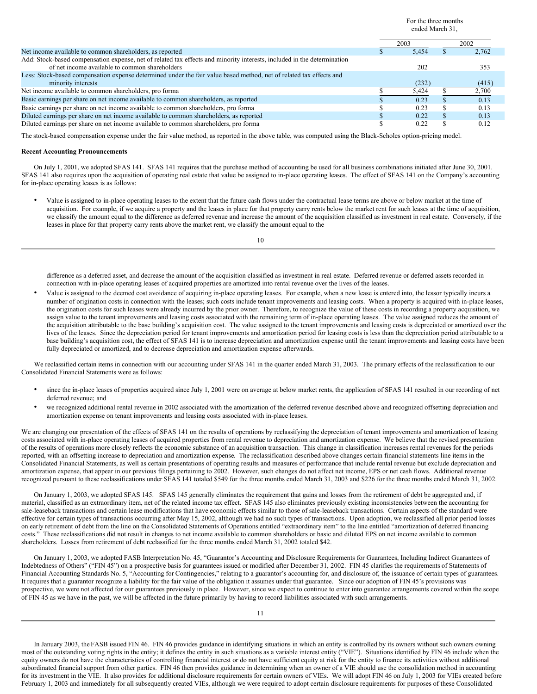For the three months ended March 31,

|                                                                                                                         | 2003  |     | 2002  |
|-------------------------------------------------------------------------------------------------------------------------|-------|-----|-------|
| Net income available to common shareholders, as reported                                                                | 5.454 |     | 2.762 |
| Add: Stock-based compensation expense, net of related tax effects and minority interests, included in the determination |       |     |       |
| of net income available to common shareholders                                                                          | 202   |     | 353   |
| Less: Stock-based compensation expense determined under the fair value based method, net of related tax effects and     |       |     |       |
| minority interests                                                                                                      | (232) |     | (415) |
| Net income available to common shareholders, pro forma                                                                  | 5,424 |     | 2,700 |
| Basic earnings per share on net income available to common shareholders, as reported                                    | 0.23  |     | 0.13  |
| Basic earnings per share on net income available to common shareholders, pro forma                                      | 0.23  |     | 0.13  |
| Diluted earnings per share on net income available to common shareholders, as reported                                  | 0.22  | \$. | 0.13  |
| Diluted earnings per share on net income available to common shareholders, pro forma                                    | 0.22  |     | 0.12  |

The stock-based compensation expense under the fair value method, as reported in the above table, was computed using the Black-Scholes option-pricing model.

#### **Recent Accounting Pronouncements**

On July 1, 2001, we adopted SFAS 141. SFAS 141 requires that the purchase method of accounting be used for all business combinations initiated after June 30, 2001. SFAS 141 also requires upon the acquisition of operating real estate that value be assigned to in-place operating leases. The effect of SFAS 141 on the Company's accounting for in-place operating leases is as follows:

• Value is assigned to in-place operating leases to the extent that the future cash flows under the contractual lease terms are above or below market at the time of acquisition. For example, if we acquire a property and the leases in place for that property carry rents below the market rent for such leases at the time of acquisition, we classify the amount equal to the difference as deferred revenue and increase the amount of the acquisition classified as investment in real estate. Conversely, if the leases in place for that property carry rents above the market rent, we classify the amount equal to the

| I            |  |
|--------------|--|
| ٦<br>×<br>۰. |  |

difference as a deferred asset, and decrease the amount of the acquisition classified as investment in real estate. Deferred revenue or deferred assets recorded in connection with in-place operating leases of acquired properties are amortized into rental revenue over the lives of the leases.

• Value is assigned to the deemed cost avoidance of acquiring in-place operating leases. For example, when a new lease is entered into, the lessor typically incurs a number of origination costs in connection with the leases; such costs include tenant improvements and leasing costs. When a property is acquired with in-place leases, the origination costs for such leases were already incurred by the prior owner. Therefore, to recognize the value of these costs in recording a property acquisition, we assign value to the tenant improvements and leasing costs associated with the remaining term of in-place operating leases. The value assigned reduces the amount of the acquisition attributable to the base building's acquisition cost. The value assigned to the tenant improvements and leasing costs is depreciated or amortized over the lives of the leases. Since the depreciation period for tenant improvements and amortization period for leasing costs is less than the depreciation period attributable to a base building's acquisition cost, the effect of SFAS 141 is to increase depreciation and amortization expense until the tenant improvements and leasing costs have been fully depreciated or amortized, and to decrease depreciation and amortization expense afterwards.

We reclassified certain items in connection with our accounting under SFAS 141 in the quarter ended March 31, 2003. The primary effects of the reclassification to our Consolidated Financial Statements were as follows:

- since the in-place leases of properties acquired since July 1, 2001 were on average at below market rents, the application of SFAS 141 resulted in our recording of net deferred revenue; and
- we recognized additional rental revenue in 2002 associated with the amortization of the deferred revenue described above and recognized offsetting depreciation and amortization expense on tenant improvements and leasing costs associated with in-place leases.

We are changing our presentation of the effects of SFAS 141 on the results of operations by reclassifying the depreciation of tenant improvements and amortization of leasing costs associated with in-place operating leases of acquired properties from rental revenue to depreciation and amortization expense. We believe that the revised presentation of the results of operations more closely reflects the economic substance of an acquisition transaction. This change in classification increases rental revenues for the periods reported, with an offsetting increase to depreciation and amortization expense. The reclassification described above changes certain financial statements line items in the Consolidated Financial Statements, as well as certain presentations of operating results and measures of performance that include rental revenue but exclude depreciation and amortization expense, that appear in our previous filings pertaining to 2002. However, such changes do not affect net income, EPS or net cash flows. Additional revenue recognized pursuant to these reclassifications under SFAS 141 totaled \$549 for the three months ended March 31, 2003 and \$226 for the three months ended March 31, 2002.

On January 1, 2003, we adopted SFAS 145. SFAS 145 generally eliminates the requirement that gains and losses from the retirement of debt be aggregated and, if material, classified as an extraordinary item, net of the related income tax effect. SFAS 145 also eliminates previously existing inconsistencies between the accounting for sale-leaseback transactions and certain lease modifications that have economic effects similar to those of sale-leaseback transactions. Certain aspects of the standard were effective for certain types of transactions occurring after May 15, 2002, although we had no such types of transactions. Upon adoption, we reclassified all prior period losses on early retirement of debt from the line on the Consolidated Statements of Operations entitled "extraordinary item" to the line entitled "amortization of deferred financing costs." These reclassifications did not result in changes to net income available to common shareholders or basic and diluted EPS on net income available to common shareholders. Losses from retirement of debt reclassified for the three months ended March 31, 2002 totaled \$42.

On January 1, 2003, we adopted FASB Interpretation No. 45, "Guarantor's Accounting and Disclosure Requirements for Guarantees, Including Indirect Guarantees of Indebtedness of Others" ("FIN 45") on a prospective basis for guarantees issued or modified after December 31, 2002. FIN 45 clarifies the requirements of Statements of Financial Accounting Standards No. 5, "Accounting for Contingencies," relating to a guarantor's accounting for, and disclosure of, the issuance of certain types of guarantees. It requires that a guarantor recognize a liability for the fair value of the obligation it assumes under that guarantee. Since our adoption of FIN 45's provisions was prospective, we were not affected for our guarantees previously in place. However, since we expect to continue to enter into guarantee arrangements covered within the scope of FIN 45 as we have in the past, we will be affected in the future primarily by having to record liabilities associated with such arrangements.

In January 2003, the FASB issued FIN 46. FIN 46 provides guidance in identifying situations in which an entity is controlled by its owners without such owners owning most of the outstanding voting rights in the entity; it defines the entity in such situations as a variable interest entity ("VIE"). Situations identified by FIN 46 include when the equity owners do not have the characteristics of controlling financial interest or do not have sufficient equity at risk for the entity to finance its activities without additional subordinated financial support from other parties. FIN 46 then provides guidance in determining when an owner of a VIE should use the consolidation method in accounting for its investment in the VIE. It also provides for additional disclosure requirements for certain owners of VIEs. We will adopt FIN 46 on July 1, 2003 for VIEs created before February 1, 2003 and immediately for all subsequently created VIEs, although we were required to adopt certain disclosure requirements for purposes of these Consolidated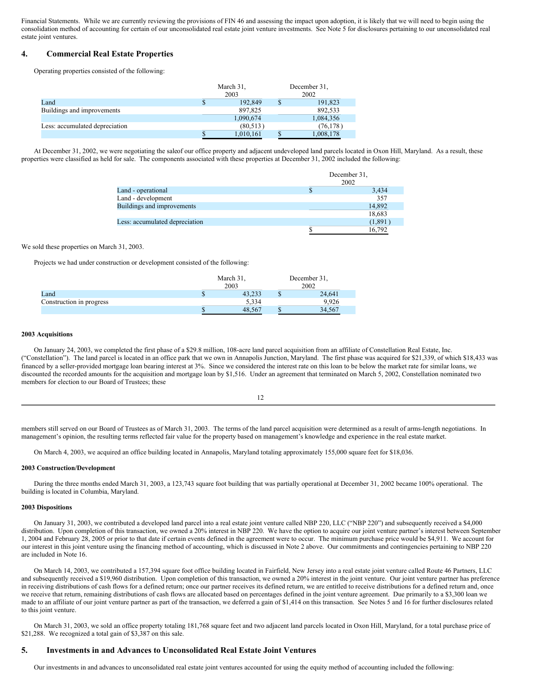Financial Statements. While we are currently reviewing the provisions of FIN 46 and assessing the impact upon adoption, it is likely that we will need to begin using the consolidation method of accounting for certain of our unconsolidated real estate joint venture investments. See Note 5 for disclosures pertaining to our unconsolidated real estate joint ventures.

# **4. Commercial Real Estate Properties**

Operating properties consisted of the following:

|                                | March 31,<br>2003 |  | December 31,<br>2002 |  |
|--------------------------------|-------------------|--|----------------------|--|
| Land                           | 192,849           |  | 191,823              |  |
| Buildings and improvements     | 897,825           |  | 892,533              |  |
|                                | 1,090,674         |  | 1,084,356            |  |
| Less: accumulated depreciation | (80, 513)         |  | (76, 178)            |  |
|                                | 1.010.161         |  | 1,008,178            |  |

At December 31, 2002, we were negotiating the saleof our office property and adjacent undeveloped land parcels located in Oxon Hill, Maryland. As a result, these properties were classified as held for sale. The components associated with these properties at December 31, 2002 included the following:

|                                | December 31,<br>2002 |
|--------------------------------|----------------------|
| Land - operational             | 3.434                |
| Land - development             | 357                  |
| Buildings and improvements     | 14,892               |
|                                | 18,683               |
| Less: accumulated depreciation | (1,891)              |
|                                | 16.792               |

We sold these properties on March 31, 2003.

Projects we had under construction or development consisted of the following:

|                          | March 31,<br>2003 | December 31,<br>2002 |        |  |
|--------------------------|-------------------|----------------------|--------|--|
| Land                     | 43.233            | ۰υ                   | 24,641 |  |
| Construction in progress | 5.334             |                      | 9.926  |  |
|                          | 48,567            |                      | 34,567 |  |

#### **2003 Acquisitions**

On January 24, 2003, we completed the first phase of a \$29.8 million, 108-acre land parcel acquisition from an affiliate of Constellation Real Estate, Inc. ("Constellation"). The land parcel is located in an office park that we own in Annapolis Junction, Maryland. The first phase was acquired for \$21,339, of which \$18,433 was financed by a seller-provided mortgage loan bearing interest at 3%. Since we considered the interest rate on this loan to be below the market rate for similar loans, we discounted the recorded amounts for the acquisition and mortgage loan by \$1,516. Under an agreement that terminated on March 5, 2002, Constellation nominated two members for election to our Board of Trustees; these

members still served on our Board of Trustees as of March 31, 2003. The terms of the land parcel acquisition were determined as a result of arms-length negotiations. In management's opinion, the resulting terms reflected fair value for the property based on management's knowledge and experience in the real estate market.

On March 4, 2003, we acquired an office building located in Annapolis, Maryland totaling approximately 155,000 square feet for \$18,036.

#### **2003 Construction/Development**

During the three months ended March 31, 2003, a 123,743 square foot building that was partially operational at December 31, 2002 became 100% operational. The building is located in Columbia, Maryland.

#### **2003 Dispositions**

On January 31, 2003, we contributed a developed land parcel into a real estate joint venture called NBP 220, LLC ("NBP 220") and subsequently received a \$4,000 distribution. Upon completion of this transaction, we owned a 20% interest in NBP 220. We have the option to acquire our joint venture partner's interest between September 1, 2004 and February 28, 2005 or prior to that date if certain events defined in the agreement were to occur. The minimum purchase price would be \$4,911. We account for our interest in this joint venture using the financing method of accounting, which is discussed in Note 2 above. Our commitments and contingencies pertaining to NBP 220 are included in Note 16.

On March 14, 2003, we contributed a 157,394 square foot office building located in Fairfield, New Jersey into a real estate joint venture called Route 46 Partners, LLC and subsequently received a \$19,960 distribution. Upon completion of this transaction, we owned a 20% interest in the joint venture. Our joint venture partner has preference in receiving distributions of cash flows for a defined return; once our partner receives its defined return, we are entitled to receive distributions for a defined return and, once we receive that return, remaining distributions of cash flows are allocated based on percentages defined in the joint venture agreement. Due primarily to a \$3,300 loan we made to an affiliate of our joint venture partner as part of the transaction, we deferred a gain of \$1,414 on this transaction. See Notes 5 and 16 for further disclosures related to this joint venture.

On March 31, 2003, we sold an office property totaling 181,768 square feet and two adjacent land parcels located in Oxon Hill, Maryland, for a total purchase price of \$21,288. We recognized a total gain of \$3,387 on this sale.

### **5. Investments in and Advances to Unconsolidated Real Estate Joint Ventures**

Our investments in and advances to unconsolidated real estate joint ventures accounted for using the equity method of accounting included the following: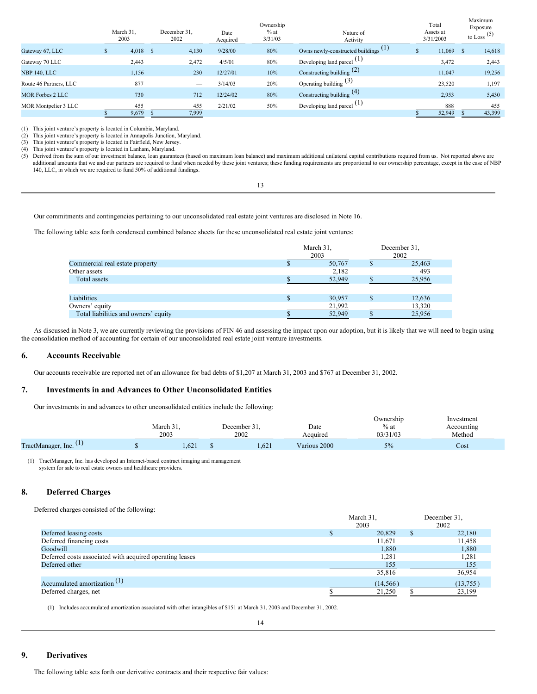|                         |   | March 31.<br>2003 | December 31.<br>2002 | Date<br>Acquired | Ownership<br>$%$ at<br>3/31/03 | Nature of<br>Activity                  | Total<br>Assets at<br>3/31/2003 |    | Maximum<br>Exposure<br>to Loss $(5)$ |
|-------------------------|---|-------------------|----------------------|------------------|--------------------------------|----------------------------------------|---------------------------------|----|--------------------------------------|
| Gateway 67, LLC         | S | $4,018$ \$        | 4,130                | 9/28/00          | 80%                            | Owns newly-constructed buildings $(1)$ | 11,069<br>S                     | S. | 14,618                               |
| Gateway 70 LLC          |   | 2,443             | 2,472                | 4/5/01           | 80%                            | Developing land parcel $(1)$           | 3,472                           |    | 2,443                                |
| <b>NBP 140, LLC</b>     |   | 1,156             | 230                  | 12/27/01         | 10%                            | Constructing building $(2)$            | 11,047                          |    | 19,256                               |
| Route 46 Partners, LLC  |   | 877               | $\qquad \qquad$      | 3/14/03          | 20%                            | Operating building $(3)$               | 23,520                          |    | 1,197                                |
| <b>MOR Forbes 2 LLC</b> |   | 730               | 712                  | 12/24/02         | 80%                            | Constructing building $(4)$            | 2,953                           |    | 5,430                                |
| MOR Montpelier 3 LLC    |   | 455               | 455                  | 2/21/02          | 50%                            | Developing land parcel (1)             | 888                             |    | 455                                  |
|                         |   | 9,679             | 7,999                |                  |                                |                                        | 52,949                          |    | 43,399                               |

(1) This joint venture's property is located in Columbia, Maryland.

(2) This joint venture's property is located in Annapolis Junction, Maryland.

(3) This joint venture's property is located in Fairfield, New Jersey.

(4) This joint venture's property is located in Lanham, Maryland.

(5) Derived from the sum of our investment balance, loan guarantees (based on maximum loan balance) and maximum additional unilateral capital contributions required from us. Not reported above are additional amounts that we and our partners are required to fund when needed by these joint ventures; these funding requirements are proportional to our ownership percentage, except in the case of NBP 140, LLC, in which we are required to fund 50% of additional fundings.

Our commitments and contingencies pertaining to our unconsolidated real estate joint ventures are disclosed in Note 16.

The following table sets forth condensed combined balance sheets for these unconsolidated real estate joint ventures:

| March 31,<br>2003 |        | December 31,<br>2002 |
|-------------------|--------|----------------------|
|                   | 50,767 | 25,463               |
|                   | 2,182  | 493                  |
|                   | 52,949 | 25,956               |
|                   |        |                      |
|                   | 30,957 | 12,636               |
|                   | 21,992 | 13,320               |
|                   | 52,949 | 25,956               |
|                   |        |                      |

As discussed in Note 3, we are currently reviewing the provisions of FIN 46 and assessing the impact upon our adoption, but it is likely that we will need to begin using the consolidation method of accounting for certain of our unconsolidated real estate joint venture investments.

#### **6. Accounts Receivable**

Our accounts receivable are reported net of an allowance for bad debts of \$1,207 at March 31, 2003 and \$767 at December 31, 2002.

# **7. Investments in and Advances to Other Unconsolidated Entities**

Our investments in and advances to other unconsolidated entities include the following:

|                         |           |              |              | Ownership | Investment |
|-------------------------|-----------|--------------|--------------|-----------|------------|
|                         | March 31. | December 31. | Date         | $%$ at    | Accounting |
|                         | 2003      | 2002         | Acquired     | 03/31/03  | Method     |
| TractManager,<br>. Inc. | 1,621     | 1,621        | Various 2000 | 5%        | Cost       |

(1) TractManager, Inc. has developed an Internet-based contract imaging and management

system for sale to real estate owners and healthcare providers.

### **8. Deferred Charges**

Deferred charges consisted of the following:

| ciclica charges consisted of the following.              |           |           |              |
|----------------------------------------------------------|-----------|-----------|--------------|
|                                                          | March 31, |           | December 31, |
|                                                          |           | 2003      | 2002         |
| Deferred leasing costs                                   |           | 20,829    | 22,180       |
| Deferred financing costs                                 |           | 11,671    | 11,458       |
| Goodwill                                                 |           | 1,880     | 1,880        |
| Deferred costs associated with acquired operating leases |           | 1,281     | 1,281        |
| Deferred other                                           |           | 155       | 155          |
|                                                          |           | 35,816    | 36,954       |
| Accumulated amortization <sup>(1)</sup>                  |           | (14, 566) | (13, 755)    |
| Deferred charges, net                                    |           | 21,250    | 23,199       |

(1) Includes accumulated amortization associated with other intangibles of \$151 at March 31, 2003 and December 31, 2002.

14

# **9. Derivatives**

The following table sets forth our derivative contracts and their respective fair values: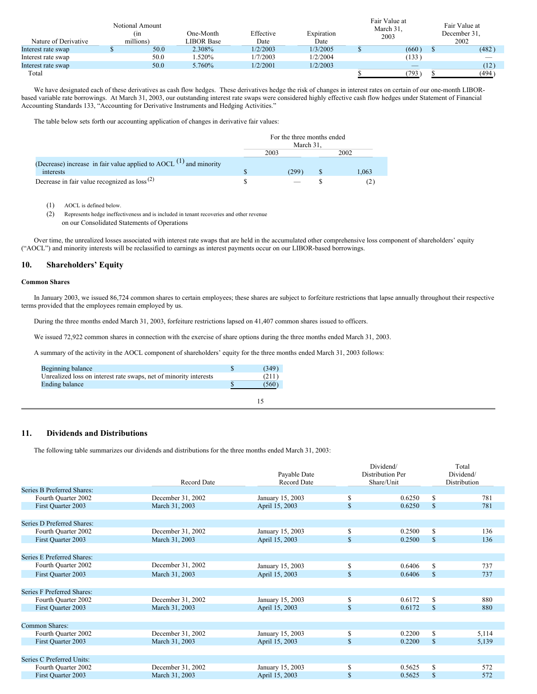| Nature of Derivative | Notional Amount<br>(1n<br>millions) | One-Month<br><b>LIBOR Base</b> | Effective<br>Date | Expiration<br>Date | Fair Value at<br>March 31.<br>2003 | Fair Value at<br>December 31,<br>2002 |
|----------------------|-------------------------------------|--------------------------------|-------------------|--------------------|------------------------------------|---------------------------------------|
| Interest rate swap   | 50.0                                | 2.308%                         | 1/2/2003          | 1/3/2005           | (660)                              | (482)                                 |
| Interest rate swap   | 50.0                                | .520%                          | 1/7/2003          | 1/2/2004           | (133)                              | $\overline{\phantom{a}}$              |
| Interest rate swap   | 50.0                                | 5.760%                         | 1/2/2001          | 1/2/2003           | $-$                                | (12)                                  |
| Total                |                                     |                                |                   |                    | 793                                | (494)                                 |

We have designated each of these derivatives as cash flow hedges. These derivatives hedge the risk of changes in interest rates on certain of our one-month LIBORbased variable rate borrowings. At March 31, 2003, our outstanding interest rate swaps were considered highly effective cash flow hedges under Statement of Financial Accounting Standards 133, "Accounting for Derivative Instruments and Hedging Activities."

The table below sets forth our accounting application of changes in derivative fair values:

|                                                                      | For the three months ended<br>March 31. |  |       |  |  |
|----------------------------------------------------------------------|-----------------------------------------|--|-------|--|--|
|                                                                      | 2003                                    |  | 2002  |  |  |
| (Decrease) increase in fair value applied to AOCL $(1)$ and minority |                                         |  |       |  |  |
| interests                                                            | (299)                                   |  | 1.063 |  |  |
| Decrease in fair value recognized as $loss^{(2)}$                    | $\overline{\phantom{a}}$                |  |       |  |  |

(1) AOCL is defined below.

(2) Represents hedge ineffectiveness and is included in tenant recoveries and other revenue on our Consolidated Statements of Operations

Over time, the unrealized losses associated with interest rate swaps that are held in the accumulated other comprehensive loss component of shareholders' equity ("AOCL") and minority interests will be reclassified to earnings as interest payments occur on our LIBOR-based borrowings.

# **10. Shareholders' Equity**

#### **Common Shares**

In January 2003, we issued 86,724 common shares to certain employees; these shares are subject to forfeiture restrictions that lapse annually throughout their respective terms provided that the employees remain employed by us.

During the three months ended March 31, 2003, forfeiture restrictions lapsed on 41,407 common shares issued to officers.

We issued 72,922 common shares in connection with the exercise of share options during the three months ended March 31, 2003.

A summary of the activity in the AOCL component of shareholders' equity for the three months ended March 31, 2003 follows:

| Beginning balance                                                 | (349) |
|-------------------------------------------------------------------|-------|
| Unrealized loss on interest rate swaps, net of minority interests | (211) |
| Ending balance                                                    | (560) |
|                                                                   |       |

15

 $D^2$  and  $D^2$ 

 $T \times T$ 

# **11. Dividends and Distributions**

The following table summarizes our dividends and distributions for the three months ended March 31, 2003:

|                            |                    |                             |              | Dividend/                             | 1 otal<br>Dividend/ |       |  |
|----------------------------|--------------------|-----------------------------|--------------|---------------------------------------|---------------------|-------|--|
|                            | <b>Record Date</b> | Payable Date<br>Record Date |              | <b>Distribution Per</b><br>Share/Unit | Distribution        |       |  |
| Series B Preferred Shares: |                    |                             |              |                                       |                     |       |  |
| Fourth Quarter 2002        | December 31, 2002  | January 15, 2003            | \$           | 0.6250                                | \$                  | 781   |  |
| First Quarter 2003         | March 31, 2003     | April 15, 2003              | \$           | 0.6250                                | $\mathbb{S}$        | 781   |  |
|                            |                    |                             |              |                                       |                     |       |  |
|                            |                    |                             |              |                                       |                     |       |  |
| Series D Preferred Shares: |                    |                             |              |                                       |                     |       |  |
| Fourth Quarter 2002        | December 31, 2002  | January 15, 2003            | \$           | 0.2500                                | S.                  | 136   |  |
| First Ouarter 2003         | March 31, 2003     | April 15, 2003              | \$           | 0.2500                                | \$                  | 136   |  |
|                            |                    |                             |              |                                       |                     |       |  |
| Series E Preferred Shares: |                    |                             |              |                                       |                     |       |  |
| Fourth Quarter 2002        | December 31, 2002  | January 15, 2003            | \$           | 0.6406                                | \$                  | 737   |  |
| First Ouarter 2003         | March 31, 2003     | April 15, 2003              | $\mathbb{S}$ | 0.6406                                | $\mathbb{S}$        | 737   |  |
|                            |                    |                             |              |                                       |                     |       |  |
| Series F Preferred Shares: |                    |                             |              |                                       |                     |       |  |
| Fourth Quarter 2002        | December 31, 2002  | January 15, 2003            | \$           | 0.6172                                | \$                  | 880   |  |
| First Ouarter 2003         | March 31, 2003     | April 15, 2003              | \$           | 0.6172                                | \$                  | 880   |  |
|                            |                    |                             |              |                                       |                     |       |  |
| <b>Common Shares:</b>      |                    |                             |              |                                       |                     |       |  |
| Fourth Ouarter 2002        | December 31, 2002  | January 15, 2003            | \$           | 0.2200                                | \$                  | 5,114 |  |
| First Ouarter 2003         | March 31, 2003     | April 15, 2003              | $\mathbb{S}$ | 0.2200                                | $\mathbb{S}$        | 5,139 |  |
|                            |                    |                             |              |                                       |                     |       |  |
| Series C Preferred Units:  |                    |                             |              |                                       |                     |       |  |
| Fourth Quarter 2002        | December 31, 2002  | January 15, 2003            | \$           | 0.5625                                | \$                  | 572   |  |
| First Ouarter 2003         | March 31, 2003     | April 15, 2003              | \$           | 0.5625                                | \$                  | 572   |  |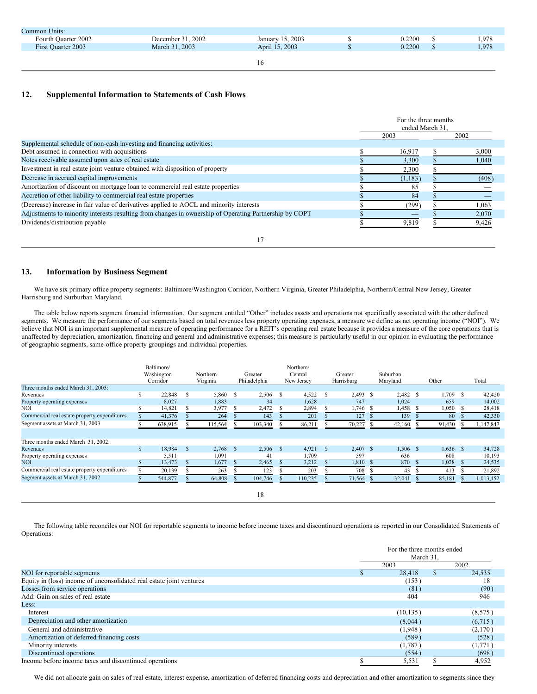| Common Units:             |                   |                  |        |       |
|---------------------------|-------------------|------------------|--------|-------|
| Fourth Quarter 2002       | December 31, 2002 | January 15, 2003 | 0.2200 | 1,978 |
| <b>First Ouarter 2003</b> | March 31, 2003    | April 15, 2003   | 0.2200 | 1,978 |
|                           |                   |                  |        |       |

## **12. Supplemental Information to Statements of Cash Flows**

|                                                                                                        | For the three months<br>ended March 31. |       |
|--------------------------------------------------------------------------------------------------------|-----------------------------------------|-------|
|                                                                                                        | 2003                                    | 2002  |
| Supplemental schedule of non-cash investing and financing activities:                                  |                                         |       |
| Debt assumed in connection with acquisitions                                                           | 16,917                                  | 3,000 |
| Notes receivable assumed upon sales of real estate                                                     | 3,300                                   | 1,040 |
| Investment in real estate joint venture obtained with disposition of property                          | 2,300                                   |       |
| Decrease in accrued capital improvements                                                               | (1,183)                                 | (408) |
| Amortization of discount on mortgage loan to commercial real estate properties                         | 85                                      |       |
| Accretion of other liability to commercial real estate properties                                      | 84                                      |       |
| (Decrease) increase in fair value of derivatives applied to AOCL and minority interests                | (299)                                   | .063  |
| Adjustments to minority interests resulting from changes in ownership of Operating Partnership by COPT |                                         | 2,070 |
| Dividends/distribution payable                                                                         | 9,819                                   | 9,426 |
|                                                                                                        |                                         |       |

17

### **13. Information by Business Segment**

We have six primary office property segments: Baltimore/Washington Corridor, Northern Virginia, Greater Philadelphia, Northern/Central New Jersey, Greater Harrisburg and Surburban Maryland.

The table below reports segment financial information. Our segment entitled "Other" includes assets and operations not specifically associated with the other defined segments. We measure the performance of our segments based on total revenues less property operating expenses, a measure we define as net operating income ("NOI"). We believe that NOI is an important supplemental measure of operating performance for a REIT's operating real estate because it provides a measure of the core operations that is unaffected by depreciation, amortization, financing and general and administrative expenses; this measure is particularly useful in our opinion in evaluating the performance of geographic segments, same-office property groupings and individual properties.

|                                              | Baltimore/<br>Washington<br>Corridor |      | Northern<br>Virginia |               | Greater<br>Philadelphia |                    | Northern/<br>Central<br>New Jersey |              | Greater<br>Harrisburg |      | Suburban<br>Maryland |     | Other  |    | Total     |
|----------------------------------------------|--------------------------------------|------|----------------------|---------------|-------------------------|--------------------|------------------------------------|--------------|-----------------------|------|----------------------|-----|--------|----|-----------|
| Three months ended March 31, 2003:           |                                      |      |                      |               |                         |                    |                                    |              |                       |      |                      |     |        |    |           |
| Revenues                                     | \$<br>22,848                         | -S   | 5,860                | <sup>\$</sup> | 2,506                   | -S                 | 4,522                              | S            | $2,493$ \$            |      | 2,482                | - S | 1,709  | -S | 42,420    |
| Property operating expenses                  | 8,027                                |      | 1,883                |               | 34                      |                    | 1,628                              |              | 747                   |      | 1,024                |     | 659    |    | 14,002    |
| <b>NOI</b>                                   | 14,821                               |      | 3,977                |               | 2,472                   |                    | 2,894                              |              | 1,746                 | - 55 | 1,458                |     | 1,050  |    | 28,418    |
| Commercial real estate property expenditures | 41,376                               |      | 264                  |               | 143                     |                    | 201                                |              | 127                   |      | 139                  |     | 80     |    | 42,330    |
| Segment assets at March 31, 2003             | 638,915                              |      | 115,564              |               | 103,340                 |                    | 86,211                             |              | 70,227                |      | 42,160               |     | 91,430 |    | 1,147,847 |
| Three months ended March 31, 2002:           |                                      |      |                      |               |                         |                    |                                    |              |                       |      |                      |     |        |    |           |
| Revenues                                     | \$<br>18,984                         | - \$ | 2,768                | <sup>S</sup>  | 2,506                   | $\mathbf{\hat{s}}$ | 4,921                              | <sup>S</sup> | 2.407 S               |      | $1,506$ \$           |     | 1,636  | -S | 34,728    |
| Property operating expenses                  | 5,511                                |      | 1,091                |               | 41                      |                    | 1,709                              |              | 597                   |      | 636                  |     | 608    |    | 10,193    |
| <b>NOI</b>                                   | 13,473                               |      | 1,677                |               | 2,465                   |                    | 3,212                              |              | 1,810                 |      | 870                  |     | 1,028  |    | 24,535    |
| Commercial real estate property expenditures | 20,139                               |      | 263                  |               | 123                     |                    | 203                                |              | 708                   |      | 43                   |     | 413    |    | 21,892    |
| Segment assets at March 31, 2002             | 544,877                              |      | 64,808               |               | 104,746                 |                    | 110,235                            |              | 71,564                |      | 32,041               |     | 85,181 |    | 1,013,452 |
|                                              |                                      |      |                      |               | 18                      |                    |                                    |              |                       |      |                      |     |        |    |           |

The following table reconciles our NOI for reportable segments to income before income taxes and discontinued operations as reported in our Consolidated Statements of Operations:

|                                                                      |      | For the three months ended<br>March 31. |         |  |  |  |  |  |  |
|----------------------------------------------------------------------|------|-----------------------------------------|---------|--|--|--|--|--|--|
|                                                                      | 2003 |                                         | 2002    |  |  |  |  |  |  |
| NOI for reportable segments                                          |      | 28,418                                  | 24,535  |  |  |  |  |  |  |
| Equity in (loss) income of unconsolidated real estate joint ventures |      | (153)                                   | 18      |  |  |  |  |  |  |
| Losses from service operations                                       |      | (81)                                    | (90)    |  |  |  |  |  |  |
| Add: Gain on sales of real estate                                    |      | 404                                     | 946     |  |  |  |  |  |  |
| Less:                                                                |      |                                         |         |  |  |  |  |  |  |
| Interest                                                             |      | (10, 135)                               | (8,575) |  |  |  |  |  |  |
| Depreciation and other amortization                                  |      | (8,044)                                 | (6,715) |  |  |  |  |  |  |
| General and administrative                                           |      | (1,948)                                 | (2,170) |  |  |  |  |  |  |
| Amortization of deferred financing costs                             |      | (589)                                   | (528)   |  |  |  |  |  |  |
| Minority interests                                                   |      | (1,787)                                 | (1,771) |  |  |  |  |  |  |
| Discontinued operations                                              |      | (554)                                   | (698)   |  |  |  |  |  |  |
| Income before income taxes and discontinued operations               |      | 5,531                                   | 4,952   |  |  |  |  |  |  |

We did not allocate gain on sales of real estate, interest expense, amortization of deferred financing costs and depreciation and other amortization to segments since they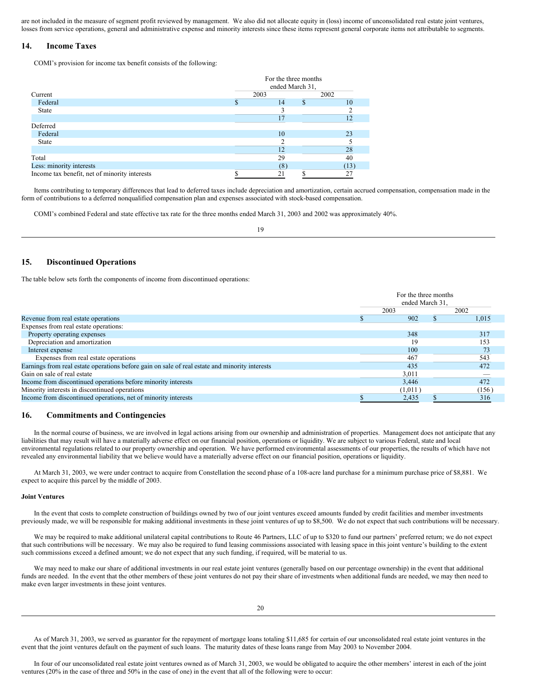are not included in the measure of segment profit reviewed by management. We also did not allocate equity in (loss) income of unconsolidated real estate joint ventures, losses from service operations, general and administrative expense and minority interests since these items represent general corporate items not attributable to segments.

### **14. Income Taxes**

COMI's provision for income tax benefit consists of the following:

|                                               | For the three months |                 |   |      |  |  |  |
|-----------------------------------------------|----------------------|-----------------|---|------|--|--|--|
|                                               |                      | ended March 31, |   |      |  |  |  |
| Current                                       | 2003                 |                 |   | 2002 |  |  |  |
| Federal                                       |                      | 14              | ъ | 10   |  |  |  |
| <b>State</b>                                  |                      |                 |   |      |  |  |  |
|                                               |                      |                 |   | 12   |  |  |  |
| Deferred                                      |                      |                 |   |      |  |  |  |
| Federal                                       |                      | 10              |   | 23   |  |  |  |
| <b>State</b>                                  |                      |                 |   |      |  |  |  |
|                                               |                      | 12              |   | 28   |  |  |  |
| Total                                         |                      | 29              |   | 40   |  |  |  |
| Less: minority interests                      |                      | (8)             |   | (13) |  |  |  |
| Income tax benefit, net of minority interests |                      | 21              |   | 27   |  |  |  |

Items contributing to temporary differences that lead to deferred taxes include depreciation and amortization, certain accrued compensation, compensation made in the form of contributions to a deferred nonqualified compensation plan and expenses associated with stock-based compensation.

COMI's combined Federal and state effective tax rate for the three months ended March 31, 2003 and 2002 was approximately 40%.

19

### **15. Discontinued Operations**

The table below sets forth the components of income from discontinued operations:

|                                                                                                | For the three months<br>ended March 31. |  |       |  |  |  |  |  |
|------------------------------------------------------------------------------------------------|-----------------------------------------|--|-------|--|--|--|--|--|
|                                                                                                | 2003                                    |  | 2002  |  |  |  |  |  |
| Revenue from real estate operations                                                            | 902                                     |  | 1,015 |  |  |  |  |  |
| Expenses from real estate operations:                                                          |                                         |  |       |  |  |  |  |  |
| Property operating expenses                                                                    | 348                                     |  | 317   |  |  |  |  |  |
| Depreciation and amortization                                                                  | 19                                      |  | 153   |  |  |  |  |  |
| Interest expense                                                                               | 100                                     |  | 73    |  |  |  |  |  |
| Expenses from real estate operations                                                           | 467                                     |  | 543   |  |  |  |  |  |
| Earnings from real estate operations before gain on sale of real estate and minority interests | 435                                     |  | 472   |  |  |  |  |  |
| Gain on sale of real estate                                                                    | 3,011                                   |  |       |  |  |  |  |  |
| Income from discontinued operations before minority interests                                  | 3.446                                   |  | 472   |  |  |  |  |  |
| Minority interests in discontinued operations                                                  | (1,011)                                 |  | (156) |  |  |  |  |  |
| Income from discontinued operations, net of minority interests                                 | 2.435                                   |  | 316   |  |  |  |  |  |

### **16. Commitments and Contingencies**

In the normal course of business, we are involved in legal actions arising from our ownership and administration of properties. Management does not anticipate that any liabilities that may result will have a materially adverse effect on our financial position, operations or liquidity. We are subject to various Federal, state and local environmental regulations related to our property ownership and operation. We have performed environmental assessments of our properties, the results of which have not revealed any environmental liability that we believe would have a materially adverse effect on our financial position, operations or liquidity.

At March 31, 2003, we were under contract to acquire from Constellation the second phase of a 108-acre land purchase for a minimum purchase price of \$8,881. We expect to acquire this parcel by the middle of 2003.

#### **Joint Ventures**

In the event that costs to complete construction of buildings owned by two of our joint ventures exceed amounts funded by credit facilities and member investments previously made, we will be responsible for making additional investments in these joint ventures of up to \$8,500. We do not expect that such contributions will be necessary.

We may be required to make additional unilateral capital contributions to Route 46 Partners, LLC of up to \$320 to fund our partners' preferred return; we do not expect that such contributions will be necessary. We may also be required to fund leasing commissions associated with leasing space in this joint venture's building to the extent such commissions exceed a defined amount; we do not expect that any such funding, if required, will be material to us.

We may need to make our share of additional investments in our real estate joint ventures (generally based on our percentage ownership) in the event that additional funds are needed. In the event that the other members of these joint ventures do not pay their share of investments when additional funds are needed, we may then need to make even larger investments in these joint ventures.

As of March 31, 2003, we served as guarantor for the repayment of mortgage loans totaling \$11,685 for certain of our unconsolidated real estate joint ventures in the event that the joint ventures default on the payment of such loans. The maturity dates of these loans range from May 2003 to November 2004.

In four of our unconsolidated real estate joint ventures owned as of March 31, 2003, we would be obligated to acquire the other members' interest in each of the joint ventures (20% in the case of three and 50% in the case of one) in the event that all of the following were to occur: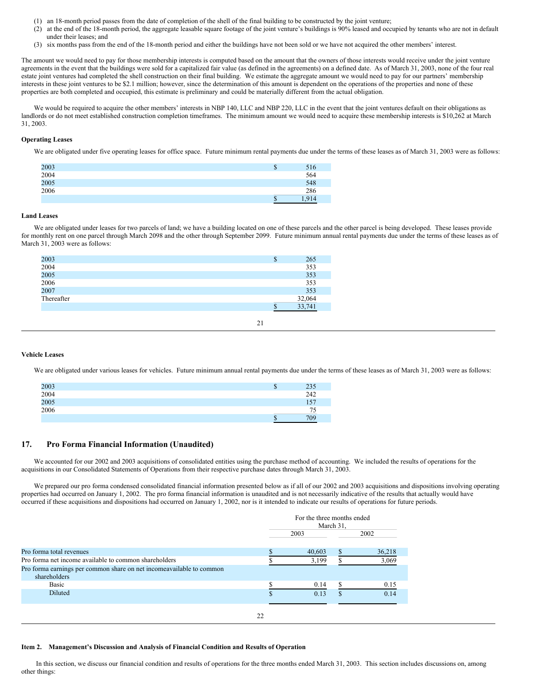- (1) an 18-month period passes from the date of completion of the shell of the final building to be constructed by the joint venture;
- (2) at the end of the 18-month period, the aggregate leasable square footage of the joint venture's buildings is 90% leased and occupied by tenants who are not in default under their leases; and
- (3) six months pass from the end of the 18-month period and either the buildings have not been sold or we have not acquired the other members' interest.

The amount we would need to pay for those membership interests is computed based on the amount that the owners of those interests would receive under the joint venture agreements in the event that the buildings were sold for a capitalized fair value (as defined in the agreements) on a defined date. As of March 31, 2003, none of the four real estate joint ventures had completed the shell construction on their final building. We estimate the aggregate amount we would need to pay for our partners' membership interests in these joint ventures to be \$2.1 million; however, since the determination of this amount is dependent on the operations of the properties and none of these properties are both completed and occupied, this estimate is preliminary and could be materially different from the actual obligation.

We would be required to acquire the other members' interests in NBP 140, LLC and NBP 220, LLC in the event that the joint ventures default on their obligations as landlords or do not meet established construction completion timeframes. The minimum amount we would need to acquire these membership interests is \$10,262 at March 31, 2003.

### **Operating Leases**

We are obligated under five operating leases for office space. Future minimum rental payments due under the terms of these leases as of March 31, 2003 were as follows:

| 2003 | ۰D | 516   |
|------|----|-------|
| 2004 |    | 564   |
| 2005 |    | 548   |
| 2006 |    | 286   |
|      | ۰D | 1,914 |

### **Land Leases**

We are obligated under leases for two parcels of land; we have a building located on one of these parcels and the other parcel is being developed. These leases provide for monthly rent on one parcel through March 2098 and the other through September 2099. Future minimum annual rental payments due under the terms of these leases as of March 31, 2003 were as follows:

| 2003         | \$ | 265    |
|--------------|----|--------|
| 2004         |    | 353    |
| 2005<br>2006 |    | 353    |
|              |    | 353    |
| 2007         |    | 353    |
| Thereafter   |    | 32,064 |
|              |    | 33,741 |
|              |    |        |
|              | 21 |        |
|              |    |        |

#### **Vehicle Leases**

We are obligated under various leases for vehicles. Future minimum annual rental payments due under the terms of these leases as of March 31, 2003 were as follows:

| 2003 | D  | 235 |
|------|----|-----|
| 2004 |    | 242 |
| 2005 |    | 157 |
| 2006 |    | 75  |
|      | ۰D | 709 |

### **17. Pro Forma Financial Information (Unaudited)**

We accounted for our 2002 and 2003 acquisitions of consolidated entities using the purchase method of accounting. We included the results of operations for the acquisitions in our Consolidated Statements of Operations from their respective purchase dates through March 31, 2003.

We prepared our pro forma condensed consolidated financial information presented below as if all of our 2002 and 2003 acquisitions and dispositions involving operating properties had occurred on January 1, 2002. The pro forma financial information is unaudited and is not necessarily indicative of the results that actually would have occurred if these acquisitions and dispositions had occurred on January 1, 2002, nor is it intended to indicate our results of operations for future periods.

|                                                                                      |    | For the three months ended<br>March 31, |    |        |  |  |  |
|--------------------------------------------------------------------------------------|----|-----------------------------------------|----|--------|--|--|--|
|                                                                                      |    | 2003                                    |    | 2002   |  |  |  |
| Pro forma total revenues                                                             |    | 40,603                                  |    | 36,218 |  |  |  |
| Pro forma net income available to common shareholders                                |    | 3,199                                   |    | 3,069  |  |  |  |
| Pro forma earnings per common share on net incomeavailable to common<br>shareholders |    |                                         |    |        |  |  |  |
| Basic                                                                                |    | 0.14                                    | ፍ  | 0.15   |  |  |  |
| <b>Diluted</b>                                                                       |    | 0.13                                    | \$ | 0.14   |  |  |  |
|                                                                                      | 22 |                                         |    |        |  |  |  |

#### <span id="page-12-0"></span>**Item 2. Management's Discussion and Analysis of Financial Condition and Results of Operation**

In this section, we discuss our financial condition and results of operations for the three months ended March 31, 2003. This section includes discussions on, among other things: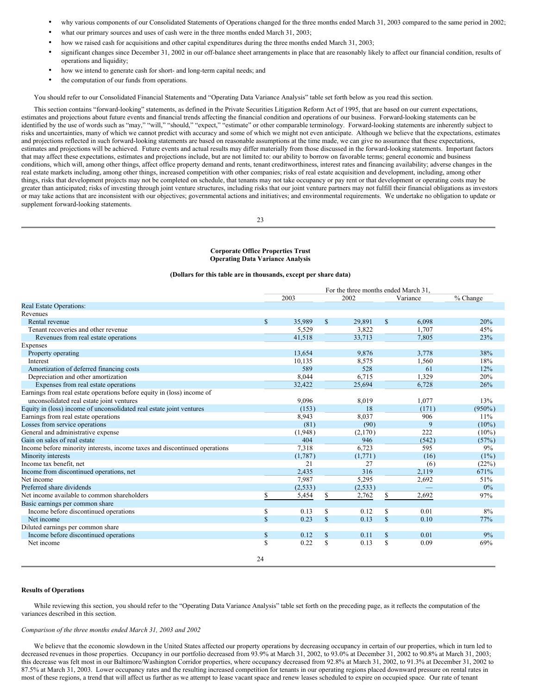- why various components of our Consolidated Statements of Operations changed for the three months ended March 31, 2003 compared to the same period in 2002;
- what our primary sources and uses of cash were in the three months ended March 31, 2003;
- how we raised cash for acquisitions and other capital expenditures during the three months ended March 31, 2003;
- significant changes since December 31, 2002 in our off-balance sheet arrangements in place that are reasonably likely to affect our financial condition, results of operations and liquidity;
- how we intend to generate cash for short- and long-term capital needs; and
- the computation of our funds from operations.

You should refer to our Consolidated Financial Statements and "Operating Data Variance Analysis" table set forth below as you read this section.

This section contains "forward-looking" statements, as defined in the Private Securities Litigation Reform Act of 1995, that are based on our current expectations, estimates and projections about future events and financial trends affecting the financial condition and operations of our business. Forward-looking statements can be identified by the use of words such as "may," "will," "should," "expect," "estimate" or other comparable terminology. Forward-looking statements are inherently subject to risks and uncertainties, many of which we cannot predict with accuracy and some of which we might not even anticipate. Although we believe that the expectations, estimates and projections reflected in such forward-looking statements are based on reasonable assumptions at the time made, we can give no assurance that these expectations, estimates and projections will be achieved. Future events and actual results may differ materially from those discussed in the forward-looking statements. Important factors that may affect these expectations, estimates and projections include, but are not limited to: our ability to borrow on favorable terms; general economic and business conditions, which will, among other things, affect office property demand and rents, tenant creditworthiness, interest rates and financing availability; adverse changes in the real estate markets including, among other things, increased competition with other companies; risks of real estate acquisition and development, including, among other things, risks that development projects may not be completed on schedule, that tenants may not take occupancy or pay rent or that development or operating costs may be greater than anticipated; risks of investing through joint venture structures, including risks that our joint venture partners may not fulfill their financial obligations as investors or may take actions that are inconsistent with our objectives; governmental actions and initiatives; and environmental requirements. We undertake no obligation to update or supplement forward-looking statements.

23

#### **Corporate Office Properties Trust Operating Data Variance Analysis**

#### **(Dollars for this table are in thousands, except per share data)**

|                                                                            |              |          | For the three months ended March 31, |          |              |          |           |
|----------------------------------------------------------------------------|--------------|----------|--------------------------------------|----------|--------------|----------|-----------|
|                                                                            |              | 2003     |                                      | 2002     |              | Variance | % Change  |
| Real Estate Operations:                                                    |              |          |                                      |          |              |          |           |
| Revenues                                                                   |              |          |                                      |          |              |          |           |
| Rental revenue                                                             | $\mathbb{S}$ | 35.989   | <sup>\$</sup>                        | 29,891   | $\mathbb{S}$ | 6,098    | 20%       |
| Tenant recoveries and other revenue                                        |              | 5,529    |                                      | 3,822    |              | 1,707    | 45%       |
| Revenues from real estate operations                                       |              | 41,518   |                                      | 33,713   |              | 7,805    | 23%       |
| Expenses                                                                   |              |          |                                      |          |              |          |           |
| Property operating                                                         |              | 13,654   |                                      | 9,876    |              | 3,778    | 38%       |
| Interest                                                                   |              | 10,135   |                                      | 8,575    |              | 1,560    | 18%       |
| Amortization of deferred financing costs                                   |              | 589      |                                      | 528      |              | 61       | 12%       |
| Depreciation and other amortization                                        |              | 8,044    |                                      | 6,715    |              | 1,329    | 20%       |
| Expenses from real estate operations                                       |              | 32,422   |                                      | 25,694   |              | 6,728    | 26%       |
| Earnings from real estate operations before equity in (loss) income of     |              |          |                                      |          |              |          |           |
| unconsolidated real estate joint ventures                                  |              | 9.096    |                                      | 8,019    |              | 1,077    | 13%       |
| Equity in (loss) income of unconsolidated real estate joint ventures       |              | (153)    |                                      | 18       |              | (171)    | $(950\%)$ |
| Earnings from real estate operations                                       |              | 8.943    |                                      | 8,037    |              | 906      | 11%       |
| Losses from service operations                                             |              | (81)     |                                      | (90)     |              | 9        | $(10\%)$  |
| General and administrative expense                                         |              | (1,948)  |                                      | (2,170)  |              | 222      | $(10\%)$  |
| Gain on sales of real estate                                               |              | 404      |                                      | 946      |              | (542)    | (57%)     |
| Income before minority interests, income taxes and discontinued operations |              | 7,318    |                                      | 6,723    |              | 595      | 9%        |
| Minority interests                                                         |              | (1,787)  |                                      | (1,771)  |              | (16)     | $(1\%)$   |
| Income tax benefit, net                                                    |              | 21       |                                      | 27       |              | (6)      | (22%)     |
| Income from discontinued operations, net                                   |              | 2,435    |                                      | 316      |              | 2,119    | 671%      |
| Net income                                                                 |              | 7,987    |                                      | 5,295    |              | 2,692    | 51%       |
| Preferred share dividends                                                  |              | (2, 533) |                                      | (2, 533) |              |          | 0%        |
| Net income available to common shareholders                                | S            | 5,454    | S                                    | 2,762    | \$           | 2,692    | 97%       |
| Basic earnings per common share                                            |              |          |                                      |          |              |          |           |
| Income before discontinued operations                                      | \$           | 0.13     | \$                                   | 0.12     | \$           | 0.01     | 8%        |
| Net income                                                                 | $\mathbb{S}$ | 0.23     | <sup>\$</sup>                        | 0.13     | $\mathbf S$  | 0.10     | 77%       |
| Diluted earnings per common share                                          |              |          |                                      |          |              |          |           |
| Income before discontinued operations                                      | \$           | 0.12     | $\mathbb{S}$                         | 0.11     | \$           | 0.01     | 9%        |
| Net income                                                                 | S            | 0.22     | S                                    | 0.13     | \$           | 0.09     | 69%       |
|                                                                            | 24           |          |                                      |          |              |          |           |

#### **Results of Operations**

While reviewing this section, you should refer to the "Operating Data Variance Analysis" table set forth on the preceding page, as it reflects the computation of the variances described in this section.

#### *Comparison of the three months ended March 31, 2003 and 2002*

We believe that the economic slowdown in the United States affected our property operations by decreasing occupancy in certain of our properties, which in turn led to decreased revenues in those properties. Occupancy in our portfolio decreased from 93.9% at March 31, 2002, to 93.0% at December 31, 2002 to 90.8% at March 31, 2003; this decrease was felt most in our Baltimore/Washington Corridor properties, where occupancy decreased from 92.8% at March 31, 2002, to 91.3% at December 31, 2002 to 87.5% at March 31, 2003. Lower occupancy rates and the resulting increased competition for tenants in our operating regions placed downward pressure on rental rates in most of these regions, a trend that will affect us further as we attempt to lease vacant space and renew leases scheduled to expire on occupied space. Our rate of tenant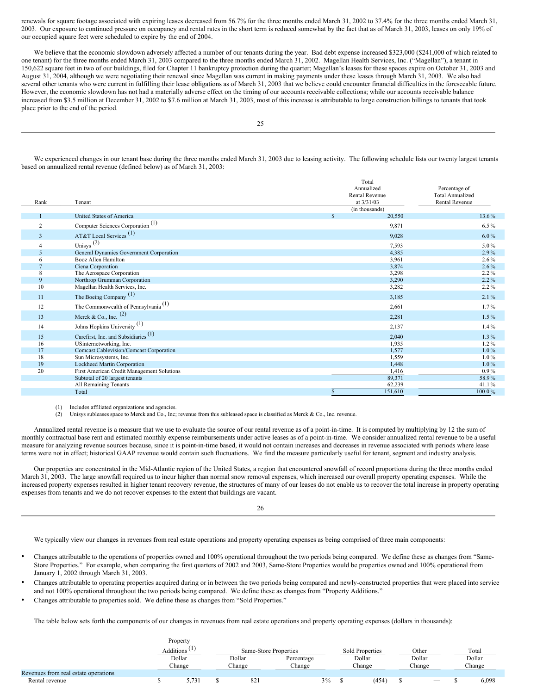renewals for square footage associated with expiring leases decreased from 56.7% for the three months ended March 31, 2002 to 37.4% for the three months ended March 31, 2003. Our exposure to continued pressure on occupancy and rental rates in the short term is reduced somewhat by the fact that as of March 31, 2003, leases on only 19% of our occupied square feet were scheduled to expire by the end of 2004.

We believe that the economic slowdown adversely affected a number of our tenants during the year. Bad debt expense increased \$323,000 (\$241,000 of which related to one tenant) for the three months ended March 31, 2003 compared to the three months ended March 31, 2002. Magellan Health Services, Inc. ("Magellan"), a tenant in 150,622 square feet in two of our buildings, filed for Chapter 11 bankruptcy protection during the quarter; Magellan's leases for these spaces expire on October 31, 2003 and August 31, 2004, although we were negotiating their renewal since Magellan was current in making payments under these leases through March 31, 2003. We also had several other tenants who were current in fulfilling their lease obligations as of March 31, 2003 that we believe could encounter financial difficulties in the foreseeable future. However, the economic slowdown has not had a materially adverse effect on the timing of our accounts receivable collections; while our accounts receivable balance increased from \$3.5 million at December 31, 2002 to \$7.6 million at March 31, 2003, most of this increase is attributable to large construction billings to tenants that took place prior to the end of the period.

We experienced changes in our tenant base during the three months ended March 31, 2003 due to leasing activity. The following schedule lists our twenty largest tenants based on annualized rental revenue (defined below) as of March 31, 2003:

|                |                                                 | Total                   |                         |
|----------------|-------------------------------------------------|-------------------------|-------------------------|
|                |                                                 | Annualized              | Percentage of           |
|                |                                                 | <b>Rental Revenue</b>   | <b>Total Annualized</b> |
| Rank           | Tenant                                          | at $3/31/03$            | <b>Rental Revenue</b>   |
|                |                                                 | (in thousands)          |                         |
|                | United States of America                        | $\mathbb{S}$<br>20,550  | 13.6%                   |
| $\overline{2}$ | Computer Sciences Corporation <sup>(1)</sup>    | 9,871                   | $6.5\%$                 |
| $\overline{3}$ | AT&T Local Services <sup>(1)</sup>              | 9,028                   | $6.0\%$                 |
| $\overline{4}$ | Unisys $(2)$                                    | 7,593                   | 5.0%                    |
| 5              | General Dynamics Government Corporation         | 4,385                   | 2.9%                    |
| 6              | Booz Allen Hamilton                             | 3,961                   | $2.6\%$                 |
| $\overline{7}$ | Ciena Corporation                               | 3,874                   | $2.6\%$                 |
| 8              | The Aerospace Corporation                       | 3,298                   | $2.2\%$                 |
| 9              | Northrop Grumman Corporation                    | 3,290                   | $2.2\%$                 |
| 10             | Magellan Health Services, Inc.                  | 3,282                   | $2.2\%$                 |
| 11             | The Boeing Company <sup>(1)</sup>               | 3,185                   | $2.1\%$                 |
| 12             | The Commonwealth of Pennsylvania <sup>(1)</sup> | 2,661                   | $1.7\%$                 |
| 13             | Merck & Co., Inc. $(2)$                         | 2,281                   | $1.5\%$                 |
| 14             | Johns Hopkins University <sup>(1)</sup>         | 2,137                   | $1.4\%$                 |
| 15             | Carefirst, Inc. and Subsidiaries <sup>(1)</sup> | 2,040                   | $1.3\%$                 |
| 16             | USinternetworking, Inc.                         | 1,935                   | $1.2\%$                 |
| 17             | Comcast Cablevision/Comcast Corporation         | 1,577                   | $1.0\%$                 |
| 18             | Sun Microsystems, Inc.                          | 1,559                   | $1.0\%$                 |
| 19             | Lockheed Martin Corporation                     | 1,448                   | $1.0\%$                 |
| 20             | First American Credit Management Solutions      | 1,416                   | $0.9\%$                 |
|                | Subtotal of 20 largest tenants                  | 89,371                  | 58.9%                   |
|                | All Remaining Tenants                           | 62,239                  | 41.1%                   |
|                | Total                                           | 151,610<br>$\mathbb{S}$ | 100.0%                  |

(1) Includes affiliated organizations and agencies.

(2) Unisys subleases space to Merck and Co., Inc; revenue from this subleased space is classified as Merck & Co., Inc. revenue.

Annualized rental revenue is a measure that we use to evaluate the source of our rental revenue as of a point-in-time. It is computed by multiplying by 12 the sum of monthly contractual base rent and estimated monthly expense reimbursements under active leases as of a point-in-time. We consider annualized rental revenue to be a useful measure for analyzing revenue sources because, since it is point-in-time based, it would not contain increases and decreases in revenue associated with periods where lease terms were not in effect; historical GAAP revenue would contain such fluctuations. We find the measure particularly useful for tenant, segment and industry analysis.

Our properties are concentrated in the Mid-Atlantic region of the United States, a region that encountered snowfall of record proportions during the three months ended March 31, 2003. The large snowfall required us to incur higher than normal snow removal expenses, which increased our overall property operating expenses. While the increased property expenses resulted in higher tenant recovery revenue, the structures of many of our leases do not enable us to recover the total increase in property operating expenses from tenants and we do not recover expenses to the extent that buildings are vacant.

26

We typically view our changes in revenues from real estate operations and property operating expenses as being comprised of three main components:

- Changes attributable to the operations of properties owned and 100% operational throughout the two periods being compared. We define these as changes from "Same-Store Properties." For example, when comparing the first quarters of 2002 and 2003, Same-Store Properties would be properties owned and 100% operational from January 1, 2002 through March 31, 2003.
- Changes attributable to operating properties acquired during or in between the two periods being compared and newly-constructed properties that were placed into service and not 100% operational throughout the two periods being compared. We define these as changes from "Property Additions."
- Changes attributable to properties sold. We define these as changes from "Sold Properties."

The table below sets forth the components of our changes in revenues from real estate operations and property operating expenses (dollars in thousands):

|                                      |            | Property |                       |            |    |                        |                          |        |
|--------------------------------------|------------|----------|-----------------------|------------|----|------------------------|--------------------------|--------|
|                                      | Additions' |          | Same-Store Properties |            |    | <b>Sold Properties</b> | Other                    | Total  |
|                                      |            | Dollar   | Dollar                | Percentage |    | Dollar                 | Dollar                   | Dollar |
|                                      |            | Change   | Change                | Change     |    | Change                 | Change                   | Change |
| Revenues from real estate operations |            |          |                       |            |    |                        |                          |        |
| Rental revenue                       |            | 5,731    | 821                   |            | 3% | (454)                  | $\overline{\phantom{a}}$ | 6,098  |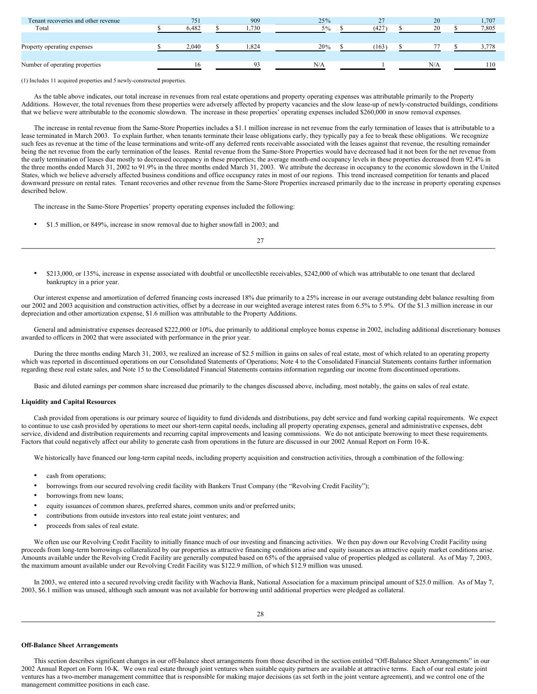| Tenant recoveries and other revenue<br>Total | 751<br>6,482 | 909<br>.,730   | 25%<br>50/2 | 27<br>(427 | 20<br>20 | 1,707<br>7.805 |
|----------------------------------------------|--------------|----------------|-------------|------------|----------|----------------|
| Property operating expenses                  | 2.040        | .824ء          | 20%         | (163)      |          | 3.778          |
| Number of operating properties               |              | Q <sub>2</sub> | N/A         |            | N/A      | 110            |

(1) Includes 11 acquired properties and 5 newly-constructed properties.

As the table above indicates, our total increase in revenues from real estate operations and property operating expenses was attributable primarily to the Property Additions. However, the total revenues from these properties were adversely affected by property vacancies and the slow lease-up of newly-constructed buildings, conditions that we believe were attributable to the economic slowdown. The increase in these properties' operating expenses included \$260,000 in snow removal expenses.

The increase in rental revenue from the Same-Store Properties includes a \$1.1 million increase in net revenue from the early termination of leases that is attributable to a lease terminated in March 2003. To explain further, when tenants terminate their lease obligations early, they typically pay a fee to break these obligations. We recognize such fees as revenue at the time of the lease terminations and write-off any deferred rents receivable associated with the leases against that revenue, the resulting remainder being the net revenue from the early termination of the leases. Rental revenue from the Same-Store Properties would have decreased had it not been for the net revenue from the early termination of leases due mostly to decreased occupancy in these properties; the average month-end occupancy levels in these properties decreased from 92.4% in the three months ended March 31, 2002 to 91.9% in the three months ended March 31, 2003. We attribute the decrease in occupancy to the economic slowdown in the United States, which we believe adversely affected business conditions and office occupancy rates in most of our regions. This trend increased competition for tenants and placed downward pressure on rental rates. Tenant recoveries and other revenue from the Same-Store Properties increased primarily due to the increase in property operating expenses described below.

The increase in the Same-Store Properties' property operating expenses included the following:

• \$1.5 million, or 849%, increase in snow removal due to higher snowfall in 2003; and

27

• \$213,000, or 135%, increase in expense associated with doubtful or uncollectible receivables, \$242,000 of which was attributable to one tenant that declared bankruptcy in a prior year.

Our interest expense and amortization of deferred financing costs increased 18% due primarily to a 25% increase in our average outstanding debt balance resulting from our 2002 and 2003 acquisition and construction activities, offset by a decrease in our weighted average interest rates from 6.5% to 5.9%. Of the \$1.3 million increase in our depreciation and other amortization expense, \$1.6 million was attributable to the Property Additions.

General and administrative expenses decreased \$222,000 or 10%, due primarily to additional employee bonus expense in 2002, including additional discretionary bonuses awarded to officers in 2002 that were associated with performance in the prior year.

During the three months ending March 31, 2003, we realized an increase of \$2.5 million in gains on sales of real estate, most of which related to an operating property which was reported in discontinued operations on our Consolidated Statements of Operations; Note 4 to the Consolidated Financial Statements contains further information regarding these real estate sales, and Note 15 to the Consolidated Financial Statements contains information regarding our income from discontinued operations.

Basic and diluted earnings per common share increased due primarily to the changes discussed above, including, most notably, the gains on sales of real estate.

#### **Liquidity and Capital Resources**

Cash provided from operations is our primary source of liquidity to fund dividends and distributions, pay debt service and fund working capital requirements. We expect to continue to use cash provided by operations to meet our short-term capital needs, including all property operating expenses, general and administrative expenses, debt service, dividend and distribution requirements and recurring capital improvements and leasing commissions. We do not anticipate borrowing to meet these requirements. Factors that could negatively affect our ability to generate cash from operations in the future are discussed in our 2002 Annual Report on Form 10-K.

We historically have financed our long-term capital needs, including property acquisition and construction activities, through a combination of the following:

- cash from operations;
- borrowings from our secured revolving credit facility with Bankers Trust Company (the "Revolving Credit Facility");
- borrowings from new loans;
- equity issuances of common shares, preferred shares, common units and/or preferred units;
- contributions from outside investors into real estate joint ventures; and
- proceeds from sales of real estate.

We often use our Revolving Credit Facility to initially finance much of our investing and financing activities. We then pay down our Revolving Credit Facility using proceeds from long-term borrowings collateralized by our properties as attractive financing conditions arise and equity issuances as attractive equity market conditions arise. Amounts available under the Revolving Credit Facility are generally computed based on 65% of the appraised value of properties pledged as collateral. As of May 7, 2003, the maximum amount available under our Revolving Credit Facility was \$122.9 million, of which \$12.9 million was unused.

In 2003, we entered into a secured revolving credit facility with Wachovia Bank, National Association for a maximum principal amount of \$25.0 million. As of May 7, 2003, \$6.1 million was unused, although such amount was not available for borrowing until additional properties were pledged as collateral.

### **Off-Balance Sheet Arrangements**

This section describes significant changes in our off-balance sheet arrangements from those described in the section entitled "Off-Balance Sheet Arrangements" in our 2002 Annual Report on Form 10-K. We own real estate through joint ventures when suitable equity partners are available at attractive terms. Each of our real estate joint ventures has a two-member management committee that is responsible for making major decisions (as set forth in the joint venture agreement), and we control one of the management committee positions in each case.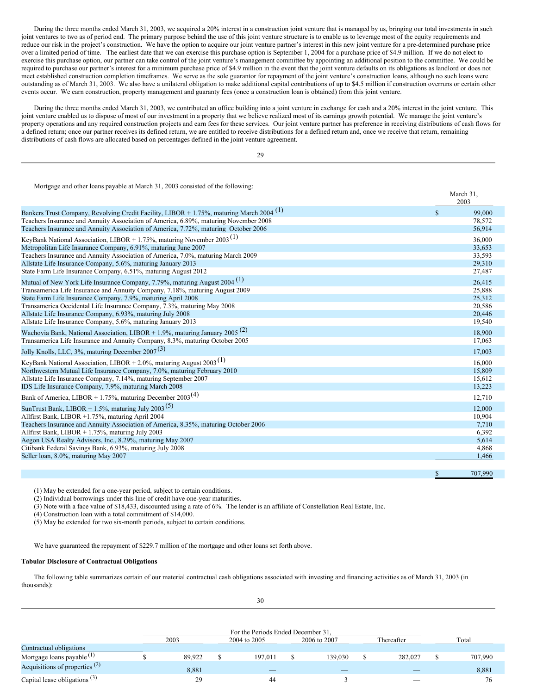During the three months ended March 31, 2003, we acquired a 20% interest in a construction joint venture that is managed by us, bringing our total investments in such joint ventures to two as of period end. The primary purpose behind the use of this joint venture structure is to enable us to leverage most of the equity requirements and reduce our risk in the project's construction. We have the option to acquire our joint venture partner's interest in this new joint venture for a pre-determined purchase price over a limited period of time. The earliest date that we can exercise this purchase option is September 1, 2004 for a purchase price of \$4.9 million. If we do not elect to exercise this purchase option, our partner can take control of the joint venture's management committee by appointing an additional position to the committee. We could be required to purchase our partner's interest for a minimum purchase price of \$4.9 million in the event that the joint venture defaults on its obligations as landlord or does not meet established construction completion timeframes. We serve as the sole guarantor for repayment of the joint venture's construction loans, although no such loans were outstanding as of March 31, 2003. We also have a unilateral obligation to make additional capital contributions of up to \$4.5 million if construction overruns or certain other events occur. We earn construction, property management and guaranty fees (once a construction loan is obtained) from this joint venture.

During the three months ended March 31, 2003, we contributed an office building into a joint venture in exchange for cash and a 20% interest in the joint venture. This joint venture enabled us to dispose of most of our investment in a property that we believe realized most of its earnings growth potential. We manage the joint venture's property operations and any required construction projects and earn fees for these services. Our joint venture partner has preference in receiving distributions of cash flows for a defined return; once our partner receives its defined return, we are entitled to receive distributions for a defined return and, once we receive that return, remaining distributions of cash flows are allocated based on percentages defined in the joint venture agreement.

29

| Mortgage and other loans payable at March 31, 2003 consisted of the following:                      |                   |        |
|-----------------------------------------------------------------------------------------------------|-------------------|--------|
|                                                                                                     | March 31,<br>2003 |        |
| Bankers Trust Company, Revolving Credit Facility, LIBOR + 1.75%, maturing March 2004 <sup>(1)</sup> | $\mathbb{S}$      | 99,000 |
| Teachers Insurance and Annuity Association of America, 6.89%, maturing November 2008                |                   | 78,572 |
| Teachers Insurance and Annuity Association of America, 7.72%, maturing October 2006                 |                   | 56,914 |
| KeyBank National Association, LIBOR + 1.75%, maturing November 2003 <sup>(1)</sup>                  |                   | 36,000 |
| Metropolitan Life Insurance Company, 6.91%, maturing June 2007                                      |                   | 33,653 |
| Teachers Insurance and Annuity Association of America, 7.0%, maturing March 2009                    |                   | 33,593 |
| Allstate Life Insurance Company, 5.6%, maturing January 2013                                        |                   | 29,310 |
| State Farm Life Insurance Company, 6.51%, maturing August 2012                                      |                   | 27,487 |
| Mutual of New York Life Insurance Company, 7.79%, maturing August 2004 <sup>(1)</sup>               |                   | 26,415 |
| Transamerica Life Insurance and Annuity Company, 7.18%, maturing August 2009                        |                   | 25,888 |
| State Farm Life Insurance Company, 7.9%, maturing April 2008                                        |                   | 25,312 |
| Transamerica Occidental Life Insurance Company, 7.3%, maturing May 2008                             |                   | 20,586 |
| Allstate Life Insurance Company, 6.93%, maturing July 2008                                          |                   | 20,446 |
| Allstate Life Insurance Company, 5.6%, maturing January 2013                                        |                   | 19,540 |
| Wachovia Bank, National Association, LIBOR + 1.9%, maturing January 2005 <sup>(2)</sup>             |                   | 18,900 |
| Transamerica Life Insurance and Annuity Company, 8.3%, maturing October 2005                        |                   | 17,063 |
| Jolly Knolls, LLC, 3%, maturing December 2007 <sup>(3)</sup>                                        |                   | 17,003 |
| KeyBank National Association, LIBOR + 2.0%, maturing August $2003(1)$                               |                   | 16,000 |
| Northwestern Mutual Life Insurance Company, 7.0%, maturing February 2010                            |                   | 15,809 |
| Allstate Life Insurance Company, 7.14%, maturing September 2007                                     |                   | 15,612 |
| IDS Life Insurance Company, 7.9%, maturing March 2008                                               |                   | 13,223 |
| Bank of America, LIBOR + 1.75%, maturing December $2003(4)$                                         |                   | 12,710 |
| SunTrust Bank, LIBOR + 1.5%, maturing July 2003 <sup>(5)</sup>                                      |                   | 12,000 |
| Allfirst Bank, LIBOR +1.75%, maturing April 2004                                                    |                   | 10,904 |
| Teachers Insurance and Annuity Association of America, 8.35%, maturing October 2006                 |                   | 7,710  |
| Allfirst Bank, LIBOR + 1.75%, maturing July 2003                                                    |                   | 6,392  |
| Aegon USA Realty Advisors, Inc., 8.29%, maturing May 2007                                           |                   | 5,614  |
| Citibank Federal Savings Bank, 6.93%, maturing July 2008                                            |                   | 4,868  |
| Seller loan, 8.0%, maturing May 2007                                                                |                   | 1,466  |
|                                                                                                     |                   |        |

(1) May be extended for a one-year period, subject to certain conditions.

(2) Individual borrowings under this line of credit have one-year maturities.

(3) Note with a face value of \$18,433, discounted using a rate of 6%. The lender is an affiliate of Constellation Real Estate, Inc.

(4) Construction loan with a total commitment of \$14,000.

(5) May be extended for two six-month periods, subject to certain conditions.

We have guaranteed the repayment of \$229.7 million of the mortgage and other loans set forth above.

#### **Tabular Disclosure of Contractual Obligations**

The following table summarizes certain of our material contractual cash obligations associated with investing and financing activities as of March 31, 2003 (in thousands):

|                                       |        |              | For the Periods Ended December 31, |              |         |            |         |       |         |
|---------------------------------------|--------|--------------|------------------------------------|--------------|---------|------------|---------|-------|---------|
|                                       | 2003   | 2004 to 2005 |                                    | 2006 to 2007 |         | Thereafter |         | Total |         |
| Contractual obligations               |        |              |                                    |              |         |            |         |       |         |
| Mortgage loans payable <sup>(1)</sup> | 89.922 |              | 197.011                            |              | 139.030 |            | 282,027 |       | 707,990 |
| Acquisitions of properties $(2)$      | 8,881  |              | $\overline{\phantom{a}}$           |              | _       |            |         |       | 8,881   |
| Capital lease obligations $(3)$       | 29     |              | 44                                 |              |         |            | ___     |       | 76      |

30

707,990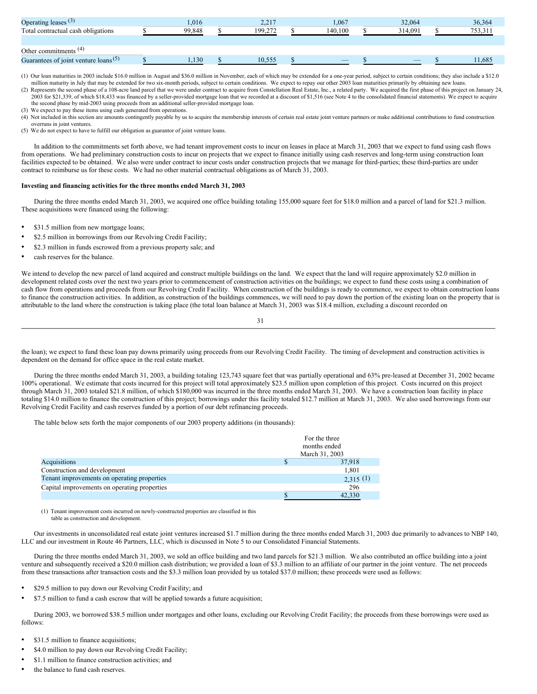| Operating leases $(3)$                           | .016   | 2,217   | 1,067                    | 32,064  | 36,364  |
|--------------------------------------------------|--------|---------|--------------------------|---------|---------|
| Total contractual cash obligations               | 99.848 | 199,272 | 140.100                  | 314,091 | 753,311 |
|                                                  |        |         |                          |         |         |
| Other commitments $(4)$                          |        |         |                          |         |         |
| Guarantees of joint venture loans <sup>(5)</sup> | .130   | 10.555  | $\overline{\phantom{a}}$ | _       | 11.685  |

(1) Our loan maturities in 2003 include \$16.0 million in August and \$36.0 million in November, each of which may be extended for a one-year period, subject to certain conditions; they also include a \$12.0 million maturity in July that may be extended for two six-month periods, subject to certain conditions. We expect to repay our other 2003 loan maturities primarily by obtaining new loans

(2) Represents the second phase of a 108-acre land parcel that we were under contract to acquire from Constellation Real Estate, Inc., a related party. We acquired the first phase of this project on January 24, 2003 for \$21,339, of which \$18,433 was financed by a seller-provided mortgage loan that we recorded at a discount of \$1,516 (see Note 4 to the consolidated financial statements). We expect to acquire the second phase by mid-2003 using proceeds from an additional seller-provided mortgage loan.

(3) We expect to pay these items using cash generated from operations.

(4) Not included in this section are amounts contingently payable by us to acquire the membership interests of certain real estate joint venture partners or make additional contributions to fund construction overruns in joint ventures.

(5) We do not expect to have to fulfill our obligation as guarantor of joint venture loans.

In addition to the commitments set forth above, we had tenant improvement costs to incur on leases in place at March 31, 2003 that we expect to fund using cash flows from operations. We had preliminary construction costs to incur on projects that we expect to finance initially using cash reserves and long-term using construction loan facilities expected to be obtained. We also were under contract to incur costs under construction projects that we manage for third-parties; these third-parties are under contract to reimburse us for these costs. We had no other material contractual obligations as of March 31, 2003.

#### **Investing and financing activities for the three months ended March 31, 2003**

During the three months ended March 31, 2003, we acquired one office building totaling 155,000 square feet for \$18.0 million and a parcel of land for \$21.3 million. These acquisitions were financed using the following:

- \$31.5 million from new mortgage loans;
- \$2.5 million in borrowings from our Revolving Credit Facility;
- \$2.3 million in funds escrowed from a previous property sale; and
- cash reserves for the balance.

We intend to develop the new parcel of land acquired and construct multiple buildings on the land. We expect that the land will require approximately \$2.0 million in development related costs over the next two years prior to commencement of construction activities on the buildings; we expect to fund these costs using a combination of cash flow from operations and proceeds from our Revolving Credit Facility. When construction of the buildings is ready to commence, we expect to obtain construction loans to finance the construction activities. In addition, as construction of the buildings commences, we will need to pay down the portion of the existing loan on the property that is attributable to the land where the construction is taking place (the total loan balance at March 31, 2003 was \$18.4 million, excluding a discount recorded on

31

the loan); we expect to fund these loan pay downs primarily using proceeds from our Revolving Credit Facility. The timing of development and construction activities is dependent on the demand for office space in the real estate market.

During the three months ended March 31, 2003, a building totaling 123,743 square feet that was partially operational and 63% pre-leased at December 31, 2002 became 100% operational. We estimate that costs incurred for this project will total approximately \$23.5 million upon completion of this project. Costs incurred on this project through March 31, 2003 totaled \$21.8 million, of which \$180,000 was incurred in the three months ended March 31, 2003. We have a construction loan facility in place totaling \$14.0 million to finance the construction of this project; borrowings under this facility totaled \$12.7 million at March 31, 2003. We also used borrowings from our Revolving Credit Facility and cash reserves funded by a portion of our debt refinancing proceeds.

The table below sets forth the major components of our 2003 property additions (in thousands):

|                                              | For the three<br>months ended<br>March 31, 2003 |
|----------------------------------------------|-------------------------------------------------|
|                                              |                                                 |
| Acquisitions                                 | 37.918                                          |
| Construction and development                 | 1,801                                           |
| Tenant improvements on operating properties  | 2,315(1)                                        |
| Capital improvements on operating properties | 296                                             |
|                                              | 42,330                                          |

(1) Tenant improvement costs incurred on newly-constructed properties are classified in this table as construction and development.

Our investments in unconsolidated real estate joint ventures increased \$1.7 million during the three months ended March 31, 2003 due primarily to advances to NBP 140, LLC and our investment in Route 46 Partners, LLC, which is discussed in Note 5 to our Consolidated Financial Statements.

During the three months ended March 31, 2003, we sold an office building and two land parcels for \$21.3 million. We also contributed an office building into a joint venture and subsequently received a \$20.0 million cash distribution; we provided a loan of \$3.3 million to an affiliate of our partner in the joint venture. The net proceeds from these transactions after transaction costs and the \$3.3 million loan provided by us totaled \$37.0 million; these proceeds were used as follows:

- \$29.5 million to pay down our Revolving Credit Facility; and
- \$7.5 million to fund a cash escrow that will be applied towards a future acquisition;

During 2003, we borrowed \$38.5 million under mortgages and other loans, excluding our Revolving Credit Facility; the proceeds from these borrowings were used as follows:

- \$31.5 million to finance acquisitions;
- \$4.0 million to pay down our Revolving Credit Facility;
- \$1.1 million to finance construction activities; and
- the balance to fund cash reserves.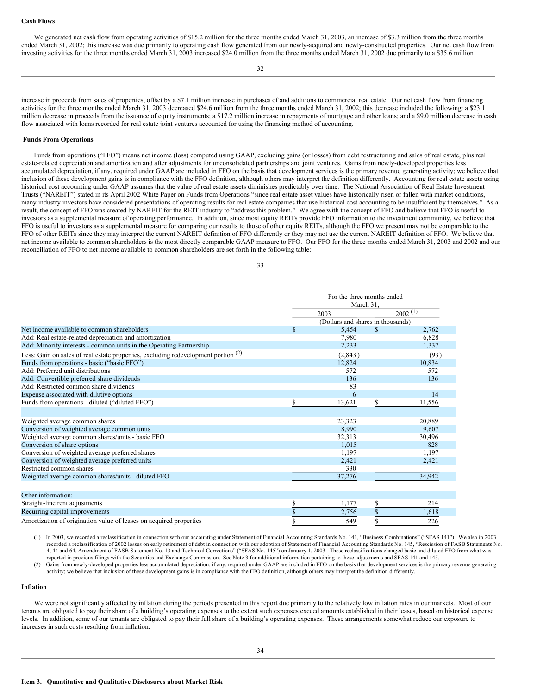We generated net cash flow from operating activities of \$15.2 million for the three months ended March 31, 2003, an increase of \$3.3 million from the three months ended March 31, 2002; this increase was due primarily to operating cash flow generated from our newly-acquired and newly-constructed properties. Our net cash flow from investing activities for the three months ended March 31, 2003 increased \$24.0 million from the three months ended March 31, 2002 due primarily to a \$35.6 million

32

increase in proceeds from sales of properties, offset by a \$7.1 million increase in purchases of and additions to commercial real estate. Our net cash flow from financing activities for the three months ended March 31, 2003 decreased \$24.6 million from the three months ended March 31, 2002; this decrease included the following: a \$23.1 million decrease in proceeds from the issuance of equity instruments; a \$17.2 million increase in repayments of mortgage and other loans; and a \$9.0 million decrease in cash flow associated with loans recorded for real estate joint ventures accounted for using the financing method of accounting.

#### **Funds From Operations**

Funds from operations ("FFO") means net income (loss) computed using GAAP, excluding gains (or losses) from debt restructuring and sales of real estate, plus real estate-related depreciation and amortization and after adjustments for unconsolidated partnerships and joint ventures. Gains from newly-developed properties less accumulated depreciation, if any, required under GAAP are included in FFO on the basis that development services is the primary revenue generating activity; we believe that inclusion of these development gains is in compliance with the FFO definition, although others may interpret the definition differently. Accounting for real estate assets using historical cost accounting under GAAP assumes that the value of real estate assets diminishes predictably over time. The National Association of Real Estate Investment Trusts ("NAREIT") stated in its April 2002 White Paper on Funds from Operations "since real estate asset values have historically risen or fallen with market conditions, many industry investors have considered presentations of operating results for real estate companies that use historical cost accounting to be insufficient by themselves." As a result, the concept of FFO was created by NAREIT for the REIT industry to "address this problem." We agree with the concept of FFO and believe that FFO is useful to investors as a supplemental measure of operating performance. In addition, since most equity REITs provide FFO information to the investment community, we believe that FFO is useful to investors as a supplemental measure for comparing our results to those of other equity REITs, although the FFO we present may not be comparable to the FFO of other REITs since they may interpret the current NAREIT definition of FFO differently or they may not use the current NAREIT definition of FFO. We believe that net income available to common shareholders is the most directly comparable GAAP measure to FFO. Our FFO for the three months ended March 31, 2003 and 2002 and our reconciliation of FFO to net income available to common shareholders are set forth in the following table:

33

|                                                                                      |               | For the three months ended<br>March 31,<br>2003 | $2002^{(1)}$ |        |
|--------------------------------------------------------------------------------------|---------------|-------------------------------------------------|--------------|--------|
|                                                                                      |               | (Dollars and shares in thousands)               |              |        |
| Net income available to common shareholders                                          | $\mathcal{S}$ | 5,454                                           | S            | 2,762  |
| Add: Real estate-related depreciation and amortization                               |               | 7,980                                           |              | 6,828  |
| Add: Minority interests - common units in the Operating Partnership                  |               | 2,233                                           |              | 1,337  |
| Less: Gain on sales of real estate properties, excluding redevelopment portion $(2)$ |               | (2, 843)                                        |              | (93)   |
| Funds from operations - basic ("basic FFO")                                          |               | 12,824                                          |              | 10,834 |
| Add: Preferred unit distributions                                                    |               | 572                                             |              | 572    |
| Add: Convertible preferred share dividends                                           |               | 136                                             |              | 136    |
| Add: Restricted common share dividends                                               |               | 83                                              |              |        |
| Expense associated with dilutive options                                             |               | 6                                               |              | 14     |
| Funds from operations - diluted ("diluted FFO")                                      |               | 13,621                                          | S            | 11,556 |
|                                                                                      |               |                                                 |              |        |
| Weighted average common shares                                                       |               | 23,323                                          |              | 20,889 |
| Conversion of weighted average common units                                          |               | 8,990                                           |              | 9.607  |
| Weighted average common shares/units - basic FFO                                     |               | 32,313                                          |              | 30,496 |
| Conversion of share options                                                          |               | 1.015                                           |              | 828    |
| Conversion of weighted average preferred shares                                      |               | 1,197                                           |              | 1,197  |
| Conversion of weighted average preferred units                                       |               | 2,421                                           |              | 2,421  |
| Restricted common shares                                                             |               | 330                                             |              |        |
| Weighted average common shares/units - diluted FFO                                   |               | 37,276                                          |              | 34,942 |
|                                                                                      |               |                                                 |              |        |
| Other information:                                                                   |               |                                                 |              |        |
| Straight-line rent adjustments                                                       | \$            | 1,177                                           | \$           | 214    |
| Recurring capital improvements                                                       |               | 2,756                                           | \$           | 1,618  |
| Amortization of origination value of leases on acquired properties                   | \$            | 549                                             | S            | 226    |

(1) In 2003, we recorded a reclassification in connection with our accounting under Statement of Financial Accounting Standards No. 141, "Business Combinations" ("SFAS 141"). We also in 2003 recorded a reclassification of 2002 losses on early retirement of debt in connection with our adoption of Statement of Financial Accounting Standards No. 145, "Rescission of FASB Statements No. 4, 44 and 64, Amendment of FASB Statement No. 13 and Technical Corrections" ("SFAS No. 145") on January 1, 2003. These reclassifications changed basic and diluted FFO from what was reported in previous filings with the Securities and Exchange Commission. See Note 3 for additional information pertaining to these adjustments and SFAS 141 and 145. (2) Gains from newly-developed properties less accumulated depreciation, if any, required under GAAP are included in FFO on the basis that development services is the primary revenue generating

activity; we believe that inclusion of these development gains is in compliance with the FFO definition, although others may interpret the definition differently.

#### **Inflation**

<span id="page-18-0"></span>We were not significantly affected by inflation during the periods presented in this report due primarily to the relatively low inflation rates in our markets. Most of our tenants are obligated to pay their share of a building's operating expenses to the extent such expenses exceed amounts established in their leases, based on historical expense levels. In addition, some of our tenants are obligated to pay their full share of a building's operating expenses. These arrangements somewhat reduce our exposure to increases in such costs resulting from inflation.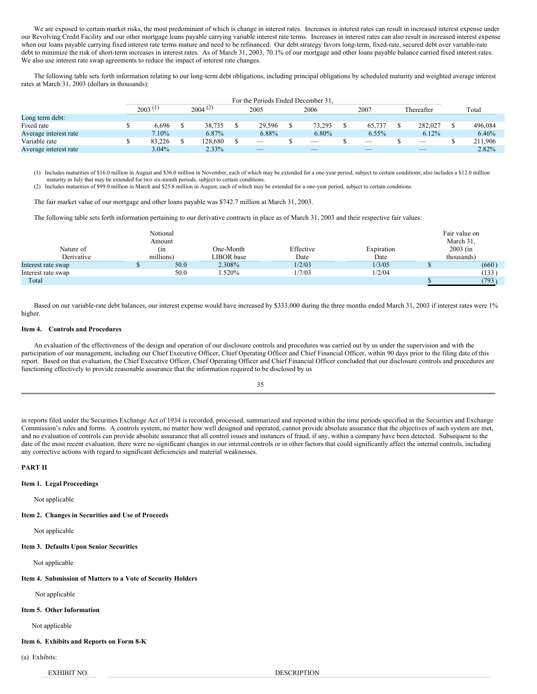We are exposed to certain market risks, the most predominant of which is change in interest rates. Increases in interest rates can result in increased interest expense under our Revolving Credit Facility and our other mortgage loans payable carrying variable interest rate terms. Increases in interest rates can also result in increased interest expense when our loans payable carrying fixed interest rate terms mature and need to be refinanced. Our debt strategy favors long-term, fixed-rate, secured debt over variable-rate debt to minimize the risk of short-term increases in interest rates. As of March 31, 2003, 70.1% of our mortgage and other loans payable balance carried fixed interest rates. We also use interest rate swap agreements to reduce the impact of interest rate changes.

The following table sets forth information relating to our long-term debt obligations, including principal obligations by scheduled maturity and weighted average interest rates at March 31, 2003 (dollars in thousands):

|                       | For the Periods Ended December 31. |  |              |  |                          |  |                          |  |                          |  |                          |         |
|-----------------------|------------------------------------|--|--------------|--|--------------------------|--|--------------------------|--|--------------------------|--|--------------------------|---------|
|                       | $2003^{(1)}$                       |  | $2004^{(2)}$ |  | 2005                     |  | 2006                     |  | 2007                     |  | Thereafter               | Total   |
| Long term debt:       |                                    |  |              |  |                          |  |                          |  |                          |  |                          |         |
| Fixed rate            | 6.696                              |  | 38.735       |  | 29.596                   |  | 73.293                   |  | 65.737                   |  | 282,027                  | 496,084 |
| Average interest rate | $7.10\%$                           |  | 6.87%        |  | 6.88%                    |  | 6.80%                    |  | $6.55\%$                 |  | 6.12%                    | 6.46%   |
| Variable rate         | 83.226                             |  | 128.680      |  | $\overline{\phantom{a}}$ |  | $-$                      |  | $\overline{\phantom{a}}$ |  | $\overline{\phantom{a}}$ | 211,906 |
| Average interest rate | 3.04%                              |  | $2.33\%$     |  | _                        |  | $\overline{\phantom{a}}$ |  |                          |  |                          | 2.82%   |

(1) Includes maturities of \$16.0 million in August and \$36.0 million in November, each of which may be extended for a one-year period, subject to certain conditions; also includes a \$12.0 million maturity in July that may be extended for two six-month periods, subject to certain conditions.

(2) Includes maturities of \$99.0 million in March and \$25.8 million in August, each of which may be extended for a one-year period, subject to certain conditions.

The fair market value of our mortgage and other loans payable was \$742.7 million at March 31, 2003.

The following table sets forth information pertaining to our derivative contracts in place as of March 31, 2003 and their respective fair values:

|                    | Notional<br>Amount |            |           |            | Fair value on<br>March 31, |
|--------------------|--------------------|------------|-----------|------------|----------------------------|
| Nature of          | (in                | One-Month  | Effective | Expiration | 2003 (in                   |
| Derivative         | millions)          | LIBOR base | Date      | Date       | thousands)                 |
| Interest rate swap | 50.0               | 2.308%     | 1/2/03    | 1/3/05     | (660)                      |
| Interest rate swap | 50.0               | 1.520%     | 1/7/03    | 1/2/04     | (133)                      |
| Total              |                    |            |           |            | (793)                      |

Based on our variable-rate debt balances, our interest expense would have increased by \$333,000 during the three months ended March 31, 2003 if interest rates were 1% higher.

### <span id="page-19-0"></span>**Item 4. Controls and Procedures**

An evaluation of the effectiveness of the design and operation of our disclosure controls and procedures was carried out by us under the supervision and with the participation of our management, including our Chief Executive Officer, Chief Operating Officer and Chief Financial Officer, within 90 days prior to the filing date of this report. Based on that evaluation, the Chief Executive Officer, Chief Operating Officer and Chief Financial Officer concluded that our disclosure controls and procedures are functioning effectively to provide reasonable assurance that the information required to be disclosed by us

35

in reports filed under the Securities Exchange Act of 1934 is recorded, processed, summarized and reported within the time periods specified in the Securities and Exchange Commission's rules and forms. A controls system, no matter how well designed and operated, cannot provide absolute assurance that the objectives of such system are met, and no evaluation of controls can provide absolute assurance that all control issues and instances of fraud, if any, within a company have been detected. Subsequent to the date of the most recent evaluation, there were no significant changes in our internal controls or in other factors that could significantly affect the internal controls, including any corrective actions with regard to significant deficiencies and material weaknesses.

### <span id="page-19-1"></span>**PART II**

### <span id="page-19-2"></span>**Item 1. Legal Proceedings**

Not applicable

<span id="page-19-3"></span>**Item 2. Changes in Securities and Use of Proceeds**

Not applicable

#### <span id="page-19-4"></span>**Item 3. Defaults Upon Senior Securities**

Not applicable

### <span id="page-19-5"></span>**Item 4. Submission of Matters to a Vote of Security Holders**

Not applicable

### <span id="page-19-6"></span>**Item 5. Other Information**

Not applicable

#### <span id="page-19-7"></span>**Item 6. Exhibits and Reports on Form 8-K**

(a) Exhibits: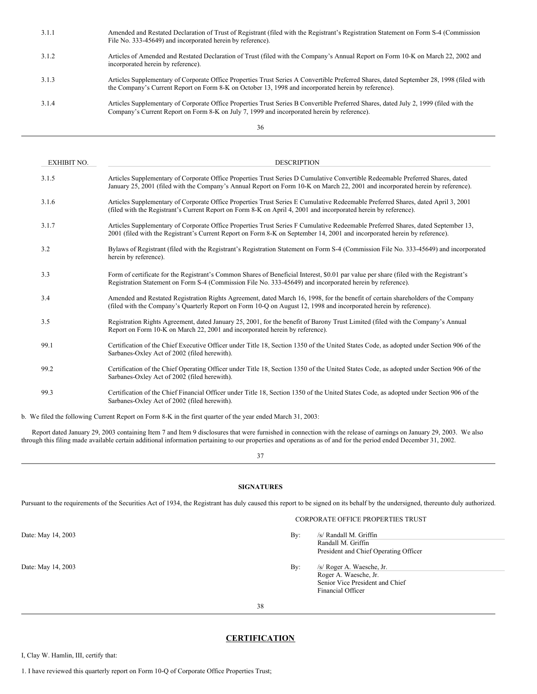| 3.1.1 | Amended and Restated Declaration of Trust of Registrant (filed with the Registrant's Registration Statement on Form S-4 (Commission<br>File No. 333-45649) and incorporated herein by reference).                                              |
|-------|------------------------------------------------------------------------------------------------------------------------------------------------------------------------------------------------------------------------------------------------|
| 3.1.2 | Articles of Amended and Restated Declaration of Trust (filed with the Company's Annual Report on Form 10-K on March 22, 2002 and<br>incorporated herein by reference).                                                                         |
| 3.1.3 | Articles Supplementary of Corporate Office Properties Trust Series A Convertible Preferred Shares, dated September 28, 1998 (filed with<br>the Company's Current Report on Form 8-K on October 13, 1998 and incorporated herein by reference). |

3.1.4 Articles Supplementary of Corporate Office Properties Trust Series B Convertible Preferred Shares, dated July 2, 1999 (filed with the Company's Current Report on Form 8-K on July 7, 1999 and incorporated herein by reference).

36

| <b>EXHIBIT NO.</b> | <b>DESCRIPTION</b>                                                                                                                                                                                                                                               |
|--------------------|------------------------------------------------------------------------------------------------------------------------------------------------------------------------------------------------------------------------------------------------------------------|
| 3.1.5              | Articles Supplementary of Corporate Office Properties Trust Series D Cumulative Convertible Redeemable Preferred Shares, dated<br>January 25, 2001 (filed with the Company's Annual Report on Form 10-K on March 22, 2001 and incorporated herein by reference). |
| 3.1.6              | Articles Supplementary of Corporate Office Properties Trust Series E Cumulative Redeemable Preferred Shares, dated April 3, 2001<br>(filed with the Registrant's Current Report on Form 8-K on April 4, 2001 and incorporated herein by reference).              |
| 3.1.7              | Articles Supplementary of Corporate Office Properties Trust Series F Cumulative Redeemable Preferred Shares, dated September 13,<br>2001 (filed with the Registrant's Current Report on Form 8-K on September 14, 2001 and incorporated herein by reference).    |
| 3.2                | Bylaws of Registrant (filed with the Registrant's Registration Statement on Form S-4 (Commission File No. 333-45649) and incorporated<br>herein by reference).                                                                                                   |
| 3.3                | Form of certificate for the Registrant's Common Shares of Beneficial Interest, \$0.01 par value per share (filed with the Registrant's<br>Registration Statement on Form S-4 (Commission File No. 333-45649) and incorporated herein by reference).              |
| 3.4                | Amended and Restated Registration Rights Agreement, dated March 16, 1998, for the benefit of certain shareholders of the Company<br>(filed with the Company's Quarterly Report on Form 10-Q on August 12, 1998 and incorporated herein by reference).            |
| 3.5                | Registration Rights Agreement, dated January 25, 2001, for the benefit of Barony Trust Limited (filed with the Company's Annual<br>Report on Form 10-K on March 22, 2001 and incorporated herein by reference).                                                  |
| 99.1               | Certification of the Chief Executive Officer under Title 18, Section 1350 of the United States Code, as adopted under Section 906 of the<br>Sarbanes-Oxley Act of 2002 (filed herewith).                                                                         |
| 99.2               | Certification of the Chief Operating Officer under Title 18, Section 1350 of the United States Code, as adopted under Section 906 of the<br>Sarbanes-Oxley Act of 2002 (filed herewith).                                                                         |
| 99.3               | Certification of the Chief Financial Officer under Title 18, Section 1350 of the United States Code, as adopted under Section 906 of the<br>Sarbanes-Oxley Act of 2002 (filed herewith).                                                                         |

b. We filed the following Current Report on Form 8-K in the first quarter of the year ended March 31, 2003:

Report dated January 29, 2003 containing Item 7 and Item 9 disclosures that were furnished in connection with the release of earnings on January 29, 2003. We also through this filing made available certain additional information pertaining to our properties and operations as of and for the period ended December 31, 2002.

37

### <span id="page-20-0"></span>**SIGNATURES**

Pursuant to the requirements of the Securities Act of 1934, the Registrant has duly caused this report to be signed on its behalf by the undersigned, thereunto duly authorized.

#### CORPORATE OFFICE PROPERTIES TRUST

| Date: May 14, 2003 | By: | /s/ Randall M. Griffin<br>Randall M. Griffin<br>President and Chief Operating Officer                      |  |
|--------------------|-----|------------------------------------------------------------------------------------------------------------|--|
| Date: May 14, 2003 | By: | /s/ Roger A. Waesche, Jr.<br>Roger A. Waesche, Jr.<br>Senior Vice President and Chief<br>Financial Officer |  |
|                    | 38  |                                                                                                            |  |

# <span id="page-20-1"></span>**CERTIFICATION**

I, Clay W. Hamlin, III, certify that: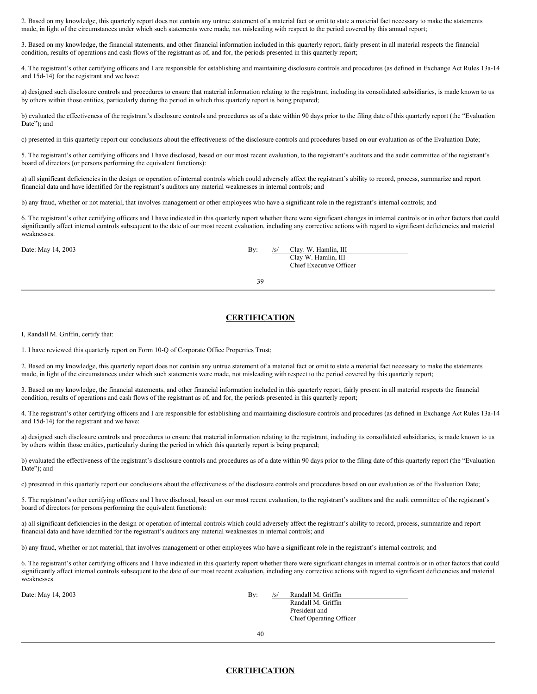2. Based on my knowledge, this quarterly report does not contain any untrue statement of a material fact or omit to state a material fact necessary to make the statements made, in light of the circumstances under which such statements were made, not misleading with respect to the period covered by this annual report;

3. Based on my knowledge, the financial statements, and other financial information included in this quarterly report, fairly present in all material respects the financial condition, results of operations and cash flows of the registrant as of, and for, the periods presented in this quarterly report;

4. The registrant's other certifying officers and I are responsible for establishing and maintaining disclosure controls and procedures (as defined in Exchange Act Rules 13a-14 and 15d-14) for the registrant and we have:

a) designed such disclosure controls and procedures to ensure that material information relating to the registrant, including its consolidated subsidiaries, is made known to us by others within those entities, particularly during the period in which this quarterly report is being prepared;

b) evaluated the effectiveness of the registrant's disclosure controls and procedures as of a date within 90 days prior to the filing date of this quarterly report (the "Evaluation Date"); and

c) presented in this quarterly report our conclusions about the effectiveness of the disclosure controls and procedures based on our evaluation as of the Evaluation Date;

5. The registrant's other certifying officers and I have disclosed, based on our most recent evaluation, to the registrant's auditors and the audit committee of the registrant's board of directors (or persons performing the equivalent functions):

a) all significant deficiencies in the design or operation of internal controls which could adversely affect the registrant's ability to record, process, summarize and report financial data and have identified for the registrant's auditors any material weaknesses in internal controls; and

b) any fraud, whether or not material, that involves management or other employees who have a significant role in the registrant's internal controls; and

6. The registrant's other certifying officers and I have indicated in this quarterly report whether there were significant changes in internal controls or in other factors that could significantly affect internal controls subsequent to the date of our most recent evaluation, including any corrective actions with regard to significant deficiencies and material weaknesses.

Date: May 14, 2003 By: /s/ Clay. W. Hamlin, III Clay W. Hamlin, III Chief Executive Officer

39

# **CERTIFICATION**

I, Randall M. Griffin, certify that:

1. I have reviewed this quarterly report on Form 10-Q of Corporate Office Properties Trust;

2. Based on my knowledge, this quarterly report does not contain any untrue statement of a material fact or omit to state a material fact necessary to make the statements made, in light of the circumstances under which such statements were made, not misleading with respect to the period covered by this quarterly report;

3. Based on my knowledge, the financial statements, and other financial information included in this quarterly report, fairly present in all material respects the financial condition, results of operations and cash flows of the registrant as of, and for, the periods presented in this quarterly report;

4. The registrant's other certifying officers and I are responsible for establishing and maintaining disclosure controls and procedures (as defined in Exchange Act Rules 13a-14 and 15d-14) for the registrant and we have:

a) designed such disclosure controls and procedures to ensure that material information relating to the registrant, including its consolidated subsidiaries, is made known to us by others within those entities, particularly during the period in which this quarterly report is being prepared;

b) evaluated the effectiveness of the registrant's disclosure controls and procedures as of a date within 90 days prior to the filing date of this quarterly report (the "Evaluation Date"); and

c) presented in this quarterly report our conclusions about the effectiveness of the disclosure controls and procedures based on our evaluation as of the Evaluation Date;

5. The registrant's other certifying officers and I have disclosed, based on our most recent evaluation, to the registrant's auditors and the audit committee of the registrant's board of directors (or persons performing the equivalent functions):

a) all significant deficiencies in the design or operation of internal controls which could adversely affect the registrant's ability to record, process, summarize and report financial data and have identified for the registrant's auditors any material weaknesses in internal controls; and

b) any fraud, whether or not material, that involves management or other employees who have a significant role in the registrant's internal controls; and

6. The registrant's other certifying officers and I have indicated in this quarterly report whether there were significant changes in internal controls or in other factors that could significantly affect internal controls subsequent to the date of our most recent evaluation, including any corrective actions with regard to significant deficiencies and material weaknesses.

Date: May 14, 2003 By: /s/ Randall M. Griffin

Randall M. Griffin President and Chief Operating Officer

# **CERTIFICATION**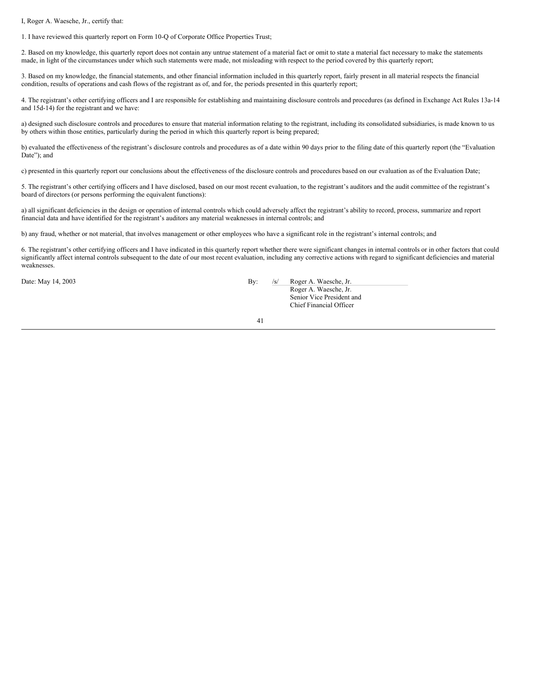I, Roger A. Waesche, Jr., certify that:

1. I have reviewed this quarterly report on Form 10-Q of Corporate Office Properties Trust;

2. Based on my knowledge, this quarterly report does not contain any untrue statement of a material fact or omit to state a material fact necessary to make the statements made, in light of the circumstances under which such statements were made, not misleading with respect to the period covered by this quarterly report;

3. Based on my knowledge, the financial statements, and other financial information included in this quarterly report, fairly present in all material respects the financial condition, results of operations and cash flows of the registrant as of, and for, the periods presented in this quarterly report;

4. The registrant's other certifying officers and I are responsible for establishing and maintaining disclosure controls and procedures (as defined in Exchange Act Rules 13a-14 and 15d-14) for the registrant and we have:

a) designed such disclosure controls and procedures to ensure that material information relating to the registrant, including its consolidated subsidiaries, is made known to us by others within those entities, particularly during the period in which this quarterly report is being prepared;

b) evaluated the effectiveness of the registrant's disclosure controls and procedures as of a date within 90 days prior to the filing date of this quarterly report (the "Evaluation Date"); and

c) presented in this quarterly report our conclusions about the effectiveness of the disclosure controls and procedures based on our evaluation as of the Evaluation Date;

5. The registrant's other certifying officers and I have disclosed, based on our most recent evaluation, to the registrant's auditors and the audit committee of the registrant's board of directors (or persons performing the equivalent functions):

a) all significant deficiencies in the design or operation of internal controls which could adversely affect the registrant's ability to record, process, summarize and report financial data and have identified for the registrant's auditors any material weaknesses in internal controls; and

b) any fraud, whether or not material, that involves management or other employees who have a significant role in the registrant's internal controls; and

6. The registrant's other certifying officers and I have indicated in this quarterly report whether there were significant changes in internal controls or in other factors that could significantly affect internal controls subsequent to the date of our most recent evaluation, including any corrective actions with regard to significant deficiencies and material weaknesses.

Date: May 14, 2003 By: /s/ Roger A. Waesche, Jr. Roger A. Waesche, Jr. Senior Vice President and Chief Financial Officer

41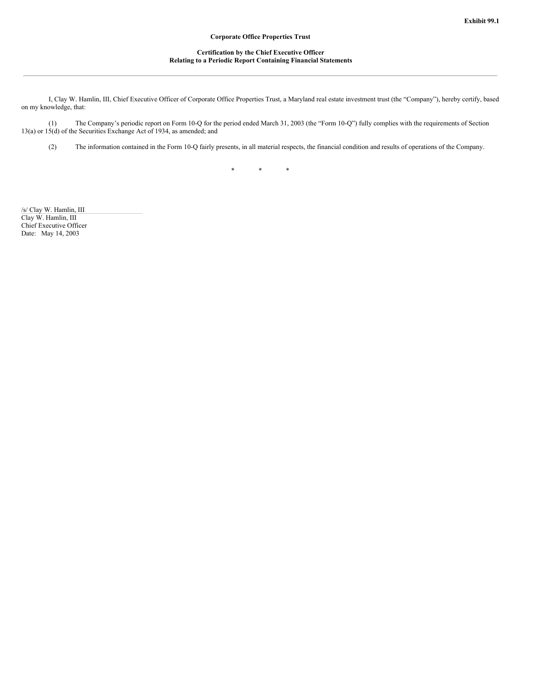### **Certification by the Chief Executive Officer Relating to a Periodic Report Containing Financial Statements**

I, Clay W. Hamlin, III, Chief Executive Officer of Corporate Office Properties Trust, a Maryland real estate investment trust (the "Company"), hereby certify, based on my knowledge, that:

(1) The Company's periodic report on Form 10-Q for the period ended March 31, 2003 (the "Form 10-Q") fully complies with the requirements of Section 13(a) or 15(d) of the Securities Exchange Act of 1934, as amended; and

(2) The information contained in the Form 10-Q fairly presents, in all material respects, the financial condition and results of operations of the Company.

\* \* \*

/s/ Clay W. Hamlin, III Clay W. Hamlin, III Chief Executive Officer Date: May 14, 2003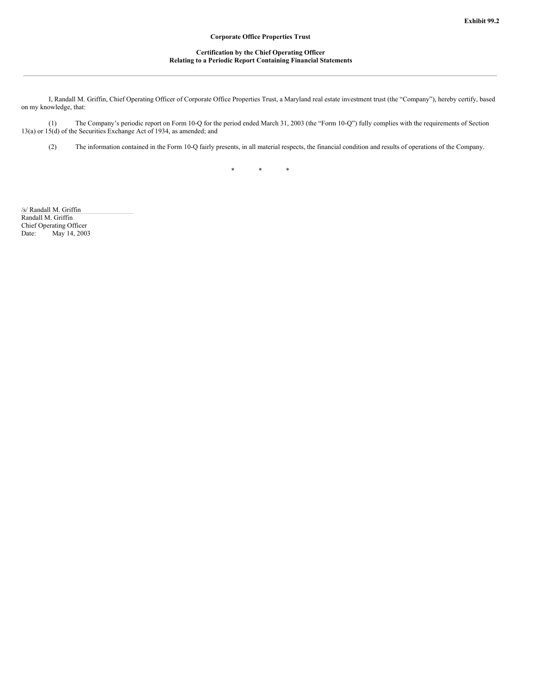### **Certification by the Chief Operating Officer Relating to a Periodic Report Containing Financial Statements**

I, Randall M. Griffin, Chief Operating Officer of Corporate Office Properties Trust, a Maryland real estate investment trust (the "Company"), hereby certify, based on my knowledge, that:

(1) The Company's periodic report on Form 10-Q for the period ended March 31, 2003 (the "Form 10-Q") fully complies with the requirements of Section 13(a) or 15(d) of the Securities Exchange Act of 1934, as amended; and

(2) The information contained in the Form 10-Q fairly presents, in all material respects, the financial condition and results of operations of the Company.

\* \* \*

/s/ Randall M. Griffin Randall M. Griffin Chief Operating Officer Date: May 14, 2003